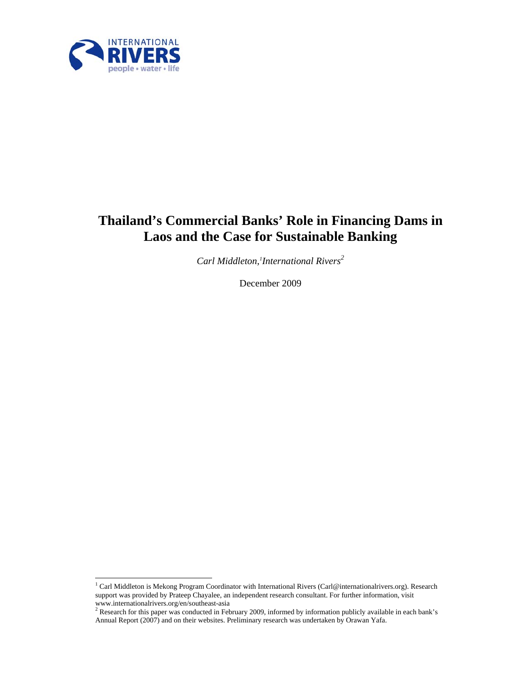

# **Thailand's Commercial Banks' Role in Financing Dams in Laos and the Case for Sustainable Banking**

*Carl Middleton,1 International Rivers<sup>2</sup>*

December 2009

<sup>1&</sup>lt;br><sup>1</sup> Carl Middleton is Mekong Program Coordinator with International Rivers (Carl@internationalrivers.org). Research support was provided by Prateep Chayalee, an independent research consultant. For further information, visit www.internationalrivers.org/en/southeast-asia<br><sup>2</sup> Research for this paper was conducted in February 2009, informed by information publicly available in each bank's

Annual Report (2007) and on their websites. Preliminary research was undertaken by Orawan Yafa.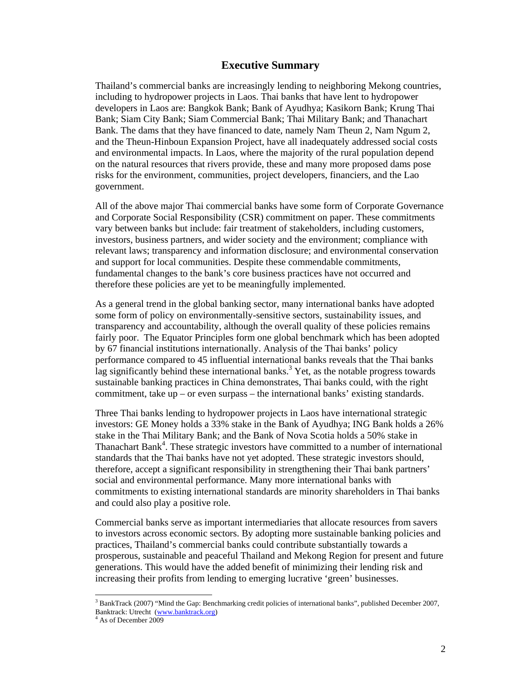#### **Executive Summary**

Thailand's commercial banks are increasingly lending to neighboring Mekong countries, including to hydropower projects in Laos. Thai banks that have lent to hydropower developers in Laos are: Bangkok Bank; Bank of Ayudhya; Kasikorn Bank; Krung Thai Bank; Siam City Bank; Siam Commercial Bank; Thai Military Bank; and Thanachart Bank. The dams that they have financed to date, namely Nam Theun 2, Nam Ngum 2, and the Theun-Hinboun Expansion Project, have all inadequately addressed social costs and environmental impacts. In Laos, where the majority of the rural population depend on the natural resources that rivers provide, these and many more proposed dams pose risks for the environment, communities, project developers, financiers, and the Lao government.

All of the above major Thai commercial banks have some form of Corporate Governance and Corporate Social Responsibility (CSR) commitment on paper. These commitments vary between banks but include: fair treatment of stakeholders, including customers, investors, business partners, and wider society and the environment; compliance with relevant laws; transparency and information disclosure; and environmental conservation and support for local communities. Despite these commendable commitments, fundamental changes to the bank's core business practices have not occurred and therefore these policies are yet to be meaningfully implemented.

As a general trend in the global banking sector, many international banks have adopted some form of policy on environmentally-sensitive sectors, sustainability issues, and transparency and accountability, although the overall quality of these policies remains fairly poor. The Equator Principles form one global benchmark which has been adopted by 67 financial institutions internationally. Analysis of the Thai banks' policy performance compared to 45 influential international banks reveals that the Thai banks lag significantly behind these international banks.<sup>3</sup> Yet, as the notable progress towards sustainable banking practices in China demonstrates, Thai banks could, with the right commitment, take up – or even surpass – the international banks' existing standards.

Three Thai banks lending to hydropower projects in Laos have international strategic investors: GE Money holds a 33% stake in the Bank of Ayudhya; ING Bank holds a 26% stake in the Thai Military Bank; and the Bank of Nova Scotia holds a 50% stake in Thanachart Bank<sup>4</sup>. These strategic investors have committed to a number of international standards that the Thai banks have not yet adopted. These strategic investors should, therefore, accept a significant responsibility in strengthening their Thai bank partners' social and environmental performance. Many more international banks with commitments to existing international standards are minority shareholders in Thai banks and could also play a positive role.

Commercial banks serve as important intermediaries that allocate resources from savers to investors across economic sectors. By adopting more sustainable banking policies and practices, Thailand's commercial banks could contribute substantially towards a prosperous, sustainable and peaceful Thailand and Mekong Region for present and future generations. This would have the added benefit of minimizing their lending risk and increasing their profits from lending to emerging lucrative 'green' businesses.

<sup>&</sup>lt;sup>3</sup> BankTrack (2007) "Mind the Gap: Benchmarking credit policies of international banks", published December 2007, Banktrack: Utrecht (www.banktrack.org) 4

As of December 2009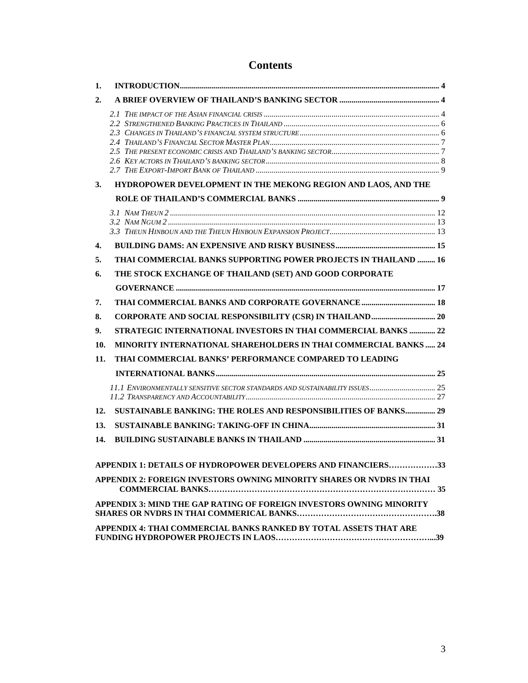## **Contents**

| 1.  |                                                                              |  |
|-----|------------------------------------------------------------------------------|--|
| 2.  |                                                                              |  |
|     |                                                                              |  |
|     |                                                                              |  |
|     |                                                                              |  |
|     |                                                                              |  |
|     |                                                                              |  |
|     |                                                                              |  |
| 3.  | HYDROPOWER DEVELOPMENT IN THE MEKONG REGION AND LAOS, AND THE                |  |
|     |                                                                              |  |
|     |                                                                              |  |
|     |                                                                              |  |
|     |                                                                              |  |
| 4.  |                                                                              |  |
| 5.  | THAI COMMERCIAL BANKS SUPPORTING POWER PROJECTS IN THAILAND  16              |  |
| 6.  | THE STOCK EXCHANGE OF THAILAND (SET) AND GOOD CORPORATE                      |  |
|     |                                                                              |  |
| 7.  |                                                                              |  |
| 8.  |                                                                              |  |
| 9.  | STRATEGIC INTERNATIONAL INVESTORS IN THAI COMMERCIAL BANKS  22               |  |
| 10. | MINORITY INTERNATIONAL SHAREHOLDERS IN THAI COMMERCIAL BANKS 24              |  |
| 11. | THAI COMMERCIAL BANKS' PERFORMANCE COMPARED TO LEADING                       |  |
|     |                                                                              |  |
|     | 11.1 ENVIRONMENTALLY SENSITIVE SECTOR STANDARDS AND SUSTAINABILITY ISSUES 25 |  |
|     |                                                                              |  |
| 12. | SUSTAINABLE BANKING: THE ROLES AND RESPONSIBILITIES OF BANKS 29              |  |
| 13. |                                                                              |  |
| 14. |                                                                              |  |
|     |                                                                              |  |
|     | APPENDIX 1: DETAILS OF HYDROPOWER DEVELOPERS AND FINANCIERS33                |  |
|     | APPENDIX 2: FOREIGN INVESTORS OWNING MINORITY SHARES OR NVDRS IN THAI        |  |
|     | APPENDIX 3: MIND THE GAP RATING OF FOREIGN INVESTORS OWNING MINORITY         |  |
|     |                                                                              |  |
|     | APPENDIX 4: THAI COMMERCIAL BANKS RANKED BY TOTAL ASSETS THAT ARE            |  |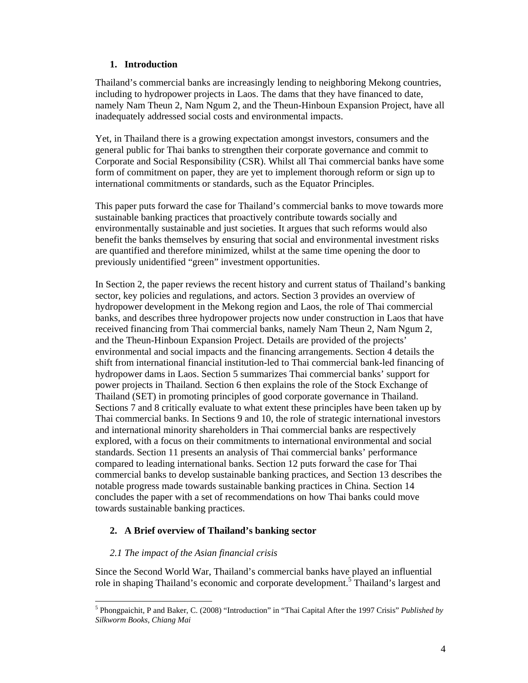#### **1. Introduction**

Thailand's commercial banks are increasingly lending to neighboring Mekong countries, including to hydropower projects in Laos. The dams that they have financed to date, namely Nam Theun 2, Nam Ngum 2, and the Theun-Hinboun Expansion Project, have all inadequately addressed social costs and environmental impacts.

Yet, in Thailand there is a growing expectation amongst investors, consumers and the general public for Thai banks to strengthen their corporate governance and commit to Corporate and Social Responsibility (CSR). Whilst all Thai commercial banks have some form of commitment on paper, they are yet to implement thorough reform or sign up to international commitments or standards, such as the Equator Principles.

This paper puts forward the case for Thailand's commercial banks to move towards more sustainable banking practices that proactively contribute towards socially and environmentally sustainable and just societies. It argues that such reforms would also benefit the banks themselves by ensuring that social and environmental investment risks are quantified and therefore minimized, whilst at the same time opening the door to previously unidentified "green" investment opportunities.

In Section 2, the paper reviews the recent history and current status of Thailand's banking sector, key policies and regulations, and actors. Section 3 provides an overview of hydropower development in the Mekong region and Laos, the role of Thai commercial banks, and describes three hydropower projects now under construction in Laos that have received financing from Thai commercial banks, namely Nam Theun 2, Nam Ngum 2, and the Theun-Hinboun Expansion Project. Details are provided of the projects' environmental and social impacts and the financing arrangements. Section 4 details the shift from international financial institution-led to Thai commercial bank-led financing of hydropower dams in Laos. Section 5 summarizes Thai commercial banks' support for power projects in Thailand. Section 6 then explains the role of the Stock Exchange of Thailand (SET) in promoting principles of good corporate governance in Thailand. Sections 7 and 8 critically evaluate to what extent these principles have been taken up by Thai commercial banks. In Sections 9 and 10, the role of strategic international investors and international minority shareholders in Thai commercial banks are respectively explored, with a focus on their commitments to international environmental and social standards. Section 11 presents an analysis of Thai commercial banks' performance compared to leading international banks. Section 12 puts forward the case for Thai commercial banks to develop sustainable banking practices, and Section 13 describes the notable progress made towards sustainable banking practices in China. Section 14 concludes the paper with a set of recommendations on how Thai banks could move towards sustainable banking practices.

### **2. A Brief overview of Thailand's banking sector**

#### *2.1 The impact of the Asian financial crisis*

 $\overline{a}$ 

Since the Second World War, Thailand's commercial banks have played an influential role in shaping Thailand's economic and corporate development.<sup>5</sup> Thailand's largest and

<sup>5</sup> Phongpaichit, P and Baker, C. (2008) "Introduction" in "Thai Capital After the 1997 Crisis" *Published by Silkworm Books, Chiang Mai*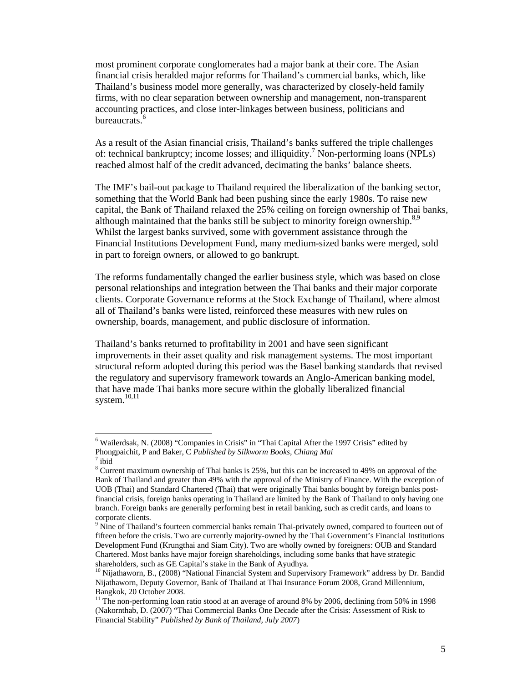most prominent corporate conglomerates had a major bank at their core. The Asian financial crisis heralded major reforms for Thailand's commercial banks, which, like Thailand's business model more generally, was characterized by closely-held family firms, with no clear separation between ownership and management, non-transparent accounting practices, and close inter-linkages between business, politicians and bureaucrats.<sup>6</sup>

As a result of the Asian financial crisis, Thailand's banks suffered the triple challenges of: technical bankruptcy; income losses; and illiquidity.<sup>7</sup> Non-performing loans (NPLs) reached almost half of the credit advanced, decimating the banks' balance sheets.

The IMF's bail-out package to Thailand required the liberalization of the banking sector, something that the World Bank had been pushing since the early 1980s. To raise new capital, the Bank of Thailand relaxed the 25% ceiling on foreign ownership of Thai banks, although maintained that the banks still be subject to minority foreign ownership.<sup>8,9</sup> Whilst the largest banks survived, some with government assistance through the Financial Institutions Development Fund, many medium-sized banks were merged, sold in part to foreign owners, or allowed to go bankrupt.

The reforms fundamentally changed the earlier business style, which was based on close personal relationships and integration between the Thai banks and their major corporate clients. Corporate Governance reforms at the Stock Exchange of Thailand, where almost all of Thailand's banks were listed, reinforced these measures with new rules on ownership, boards, management, and public disclosure of information.

Thailand's banks returned to profitability in 2001 and have seen significant improvements in their asset quality and risk management systems. The most important structural reform adopted during this period was the Basel banking standards that revised the regulatory and supervisory framework towards an Anglo-American banking model, that have made Thai banks more secure within the globally liberalized financial system. $10,11$ 

<sup>&</sup>lt;sup>6</sup> Wailerdsak, N. (2008) "Companies in Crisis" in "Thai Capital After the 1997 Crisis" edited by Phongpaichit, P and Baker, C *Published by Silkworm Books, Chiang Mai* <sup>7</sup>

 $7$ ibid

 $8$  Current maximum ownership of Thai banks is 25%, but this can be increased to 49% on approval of the Bank of Thailand and greater than 49% with the approval of the Ministry of Finance. With the exception of UOB (Thai) and Standard Chartered (Thai) that were originally Thai banks bought by foreign banks postfinancial crisis, foreign banks operating in Thailand are limited by the Bank of Thailand to only having one branch. Foreign banks are generally performing best in retail banking, such as credit cards, and loans to corporate clients.

<sup>&</sup>lt;sup>9</sup> Nine of Thailand's fourteen commercial banks remain Thai-privately owned, compared to fourteen out of fifteen before the crisis. Two are currently majority-owned by the Thai Government's Financial Institutions Development Fund (Krungthai and Siam City). Two are wholly owned by foreigners: OUB and Standard Chartered. Most banks have major foreign shareholdings, including some banks that have strategic shareholders, such as GE Capital's stake in the Bank of Ayudhya.

<sup>&</sup>lt;sup>10</sup> Nijathaworn, B., (2008) "National Financial System and Supervisory Framework" address by Dr. Bandid Nijathaworn, Deputy Governor, Bank of Thailand at Thai Insurance Forum 2008, Grand Millennium, Bangkok, 20 October 2008.

<sup>&</sup>lt;sup>11</sup> The non-performing loan ratio stood at an average of around 8% by 2006, declining from 50% in 1998 (Nakornthab, D. (2007) "Thai Commercial Banks One Decade after the Crisis: Assessment of Risk to Financial Stability" *Published by Bank of Thailand, July 2007*)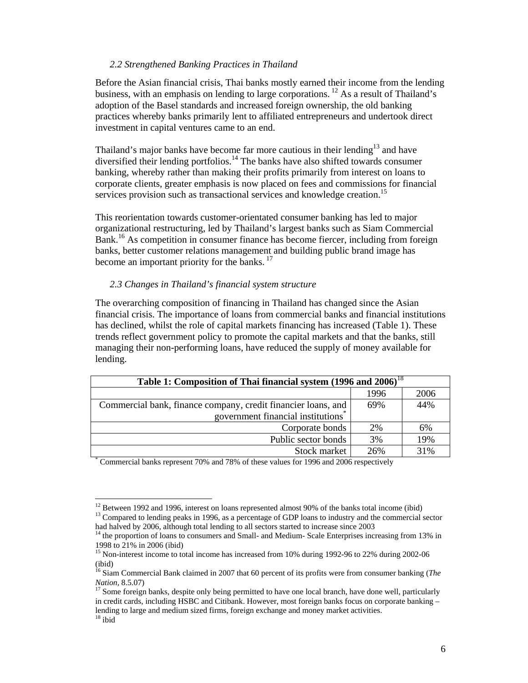#### *2.2 Strengthened Banking Practices in Thailand*

Before the Asian financial crisis, Thai banks mostly earned their income from the lending business, with an emphasis on lending to large corporations. <sup>12</sup> As a result of Thailand's adoption of the Basel standards and increased foreign ownership, the old banking practices whereby banks primarily lent to affiliated entrepreneurs and undertook direct investment in capital ventures came to an end.

Thailand's major banks have become far more cautious in their lending<sup>13</sup> and have diversified their lending portfolios.<sup>14</sup> The banks have also shifted towards consumer banking, whereby rather than making their profits primarily from interest on loans to corporate clients, greater emphasis is now placed on fees and commissions for financial services provision such as transactional services and knowledge creation.<sup>15</sup>

This reorientation towards customer-orientated consumer banking has led to major organizational restructuring, led by Thailand's largest banks such as Siam Commercial Bank.<sup>16</sup> As competition in consumer finance has become fiercer, including from foreign banks, better customer relations management and building public brand image has become an important priority for the banks.<sup>17</sup>

#### *2.3 Changes in Thailand's financial system structure*

The overarching composition of financing in Thailand has changed since the Asian financial crisis. The importance of loans from commercial banks and financial institutions has declined, whilst the role of capital markets financing has increased (Table 1). These trends reflect government policy to promote the capital markets and that the banks, still managing their non-performing loans, have reduced the supply of money available for lending.

| Table 1: Composition of Thai financial system (1996 and 2006) <sup>18</sup>           |      |      |  |  |  |  |
|---------------------------------------------------------------------------------------|------|------|--|--|--|--|
|                                                                                       | 1996 | 2006 |  |  |  |  |
| Commercial bank, finance company, credit financier loans, and                         | 69%  | 44%  |  |  |  |  |
| government financial institutions <sup>†</sup>                                        |      |      |  |  |  |  |
| Corporate bonds                                                                       | 2%   | 6%   |  |  |  |  |
| Public sector bonds                                                                   | 3%   | 19%  |  |  |  |  |
| Stock market                                                                          | 26%  | 31%  |  |  |  |  |
| Commercial banks represent 70% and 78% of these values for 1996 and 2006 respectively |      |      |  |  |  |  |

 $12$  Between 1992 and 1996, interest on loans represented almost 90% of the banks total income (ibid) <sup>13</sup> Compared to lending peaks in 1996, as a percentage of GDP loans to industry and the commercial sector had halved by 2006, although total lending to all sectors started to increase since 2003

<sup>&</sup>lt;sup>14</sup> the proportion of loans to consumers and Small- and Medium- Scale Enterprises increasing from 13% in 1998 to 21% in 2006 (ibid)

<sup>&</sup>lt;sup>15</sup> Non-interest income to total income has increased from 10% during 1992-96 to 22% during 2002-06 (ibid)

<sup>16</sup> Siam Commercial Bank claimed in 2007 that 60 percent of its profits were from consumer banking (*The Nation,* 8.5.07)<br><sup>17</sup> Some foreign banks, despite only being permitted to have one local branch, have done well, particularly

in credit cards, including HSBC and Citibank. However, most foreign banks focus on corporate banking – lending to large and medium sized firms, foreign exchange and money market activities.  $^{\rm 18}$ ibid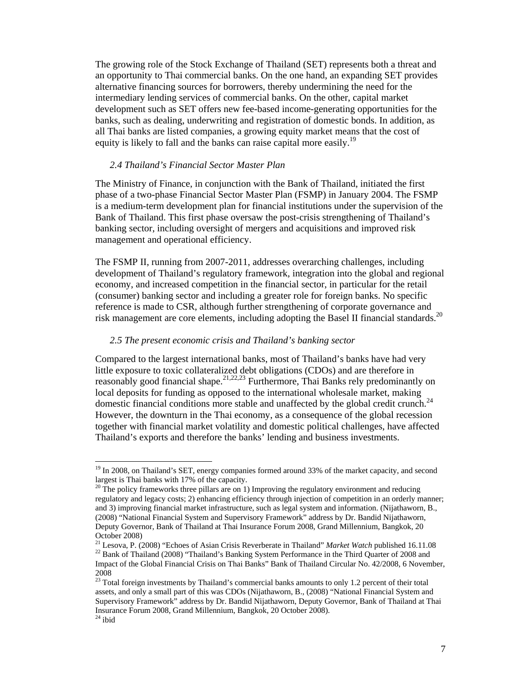The growing role of the Stock Exchange of Thailand (SET) represents both a threat and an opportunity to Thai commercial banks. On the one hand, an expanding SET provides alternative financing sources for borrowers, thereby undermining the need for the intermediary lending services of commercial banks. On the other, capital market development such as SET offers new fee-based income-generating opportunities for the banks, such as dealing, underwriting and registration of domestic bonds. In addition, as all Thai banks are listed companies, a growing equity market means that the cost of equity is likely to fall and the banks can raise capital more easily.<sup>19</sup>

#### *2.4 Thailand's Financial Sector Master Plan*

The Ministry of Finance, in conjunction with the Bank of Thailand, initiated the first phase of a two-phase Financial Sector Master Plan (FSMP) in January 2004. The FSMP is a medium-term development plan for financial institutions under the supervision of the Bank of Thailand. This first phase oversaw the post-crisis strengthening of Thailand's banking sector, including oversight of mergers and acquisitions and improved risk management and operational efficiency.

The FSMP II, running from 2007-2011, addresses overarching challenges, including development of Thailand's regulatory framework, integration into the global and regional economy, and increased competition in the financial sector, in particular for the retail (consumer) banking sector and including a greater role for foreign banks. No specific reference is made to CSR, although further strengthening of corporate governance and risk management are core elements, including adopting the Basel II financial standards.<sup>20</sup>

#### *2.5 The present economic crisis and Thailand's banking sector*

Compared to the largest international banks, most of Thailand's banks have had very little exposure to toxic collateralized debt obligations (CDOs) and are therefore in reasonably good financial shape.<sup>21,22,23</sup> Furthermore, Thai Banks rely predominantly on local deposits for funding as opposed to the international wholesale market, making domestic financial conditions more stable and unaffected by the global credit crunch.<sup>24</sup> However, the downturn in the Thai economy, as a consequence of the global recession together with financial market volatility and domestic political challenges, have affected Thailand's exports and therefore the banks' lending and business investments.

 $19$  In 2008, on Thailand's SET, energy companies formed around 33% of the market capacity, and second largest is Thai banks with 17% of the capacity.

<sup>&</sup>lt;sup>20</sup> The policy frameworks three pillars are on 1) Improving the regulatory environment and reducing regulatory and legacy costs; 2) enhancing efficiency through injection of competition in an orderly manner; and 3) improving financial market infrastructure, such as legal system and information. (Nijathaworn, B., (2008) "National Financial System and Supervisory Framework" address by Dr. Bandid Nijathaworn, Deputy Governor, Bank of Thailand at Thai Insurance Forum 2008, Grand Millennium, Bangkok, 20 October 2008)<br><sup>21</sup> Lesova, P. (2008) "Echoes of Asian Crisis Reverberate in Thailand" *Market Watch* published 16.11.08

<sup>&</sup>lt;sup>22</sup> Bank of Thailand (2008) "Thailand's Banking System Performance in the Third Quarter of 2008 and Impact of the Global Financial Crisis on Thai Banks" Bank of Thailand Circular No. 42/2008, 6 November, 2008

<sup>&</sup>lt;sup>23</sup> Total foreign investments by Thailand's commercial banks amounts to only 1.2 percent of their total assets, and only a small part of this was CDOs (Nijathaworn, B., (2008) "National Financial System and Supervisory Framework" address by Dr. Bandid Nijathaworn, Deputy Governor, Bank of Thailand at Thai Insurance Forum 2008, Grand Millennium, Bangkok, 20 October 2008).  $24$  ibid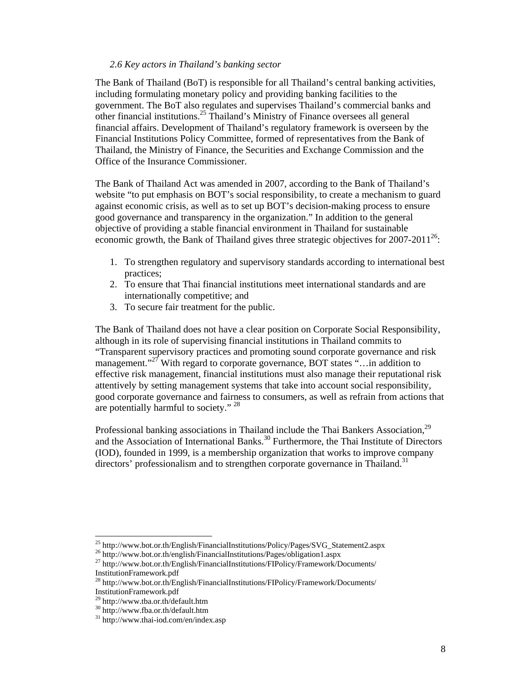#### *2.6 Key actors in Thailand's banking sector*

The Bank of Thailand (BoT) is responsible for all Thailand's central banking activities, including formulating monetary policy and providing banking facilities to the government. The BoT also regulates and supervises Thailand's commercial banks and other financial institutions.25 Thailand's Ministry of Finance oversees all general financial affairs. Development of Thailand's regulatory framework is overseen by the Financial Institutions Policy Committee, formed of representatives from the Bank of Thailand, the Ministry of Finance, the Securities and Exchange Commission and the Office of the Insurance Commissioner.

The Bank of Thailand Act was amended in 2007, according to the Bank of Thailand's website "to put emphasis on BOT's social responsibility, to create a mechanism to guard against economic crisis, as well as to set up BOT's decision-making process to ensure good governance and transparency in the organization." In addition to the general objective of providing a stable financial environment in Thailand for sustainable economic growth, the Bank of Thailand gives three strategic objectives for  $2007-2011^{26}$ :

- 1. To strengthen regulatory and supervisory standards according to international best practices;
- 2. To ensure that Thai financial institutions meet international standards and are internationally competitive; and
- 3. To secure fair treatment for the public.

The Bank of Thailand does not have a clear position on Corporate Social Responsibility, although in its role of supervising financial institutions in Thailand commits to "Transparent supervisory practices and promoting sound corporate governance and risk management."<sup>27</sup> With regard to corporate governance, BOT states "... in addition to effective risk management, financial institutions must also manage their reputational risk attentively by setting management systems that take into account social responsibility, good corporate governance and fairness to consumers, as well as refrain from actions that are potentially harmful to society." <sup>28</sup>

Professional banking associations in Thailand include the Thai Bankers Association,<sup>29</sup> and the Association of International Banks.<sup>30</sup> Furthermore, the Thai Institute of Directors (IOD), founded in 1999, is a membership organization that works to improve company directors' professionalism and to strengthen corporate governance in Thailand.<sup>31</sup>

<sup>&</sup>lt;sup>25</sup> http://www.bot.or.th/English/FinancialInstitutions/Policy/Pages/SVG\_Statement2.aspx

<sup>26</sup> http://www.bot.or.th/english/FinancialInstitutions/Pages/obligation1.aspx

<sup>27</sup> http://www.bot.or.th/English/FinancialInstitutions/FIPolicy/Framework/Documents/ InstitutionFramework.pdf

<sup>28</sup> http://www.bot.or.th/English/FinancialInstitutions/FIPolicy/Framework/Documents/ InstitutionFramework.pdf

<sup>29</sup> http://www.tba.or.th/default.htm

<sup>30</sup> http://www.fba.or.th/default.htm

<sup>31</sup> http://www.thai-iod.com/en/index.asp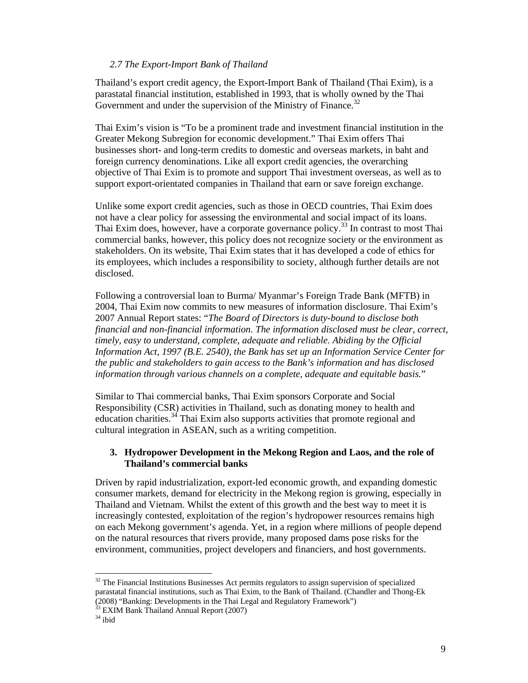#### *2.7 The Export-Import Bank of Thailand*

Thailand's export credit agency, the Export-Import Bank of Thailand (Thai Exim), is a parastatal financial institution, established in 1993, that is wholly owned by the Thai Government and under the supervision of the Ministry of Finance.<sup>32</sup>

Thai Exim's vision is "To be a prominent trade and investment financial institution in the Greater Mekong Subregion for economic development." Thai Exim offers Thai businesses short- and long-term credits to domestic and overseas markets, in baht and foreign currency denominations. Like all export credit agencies, the overarching objective of Thai Exim is to promote and support Thai investment overseas, as well as to support export-orientated companies in Thailand that earn or save foreign exchange.

Unlike some export credit agencies, such as those in OECD countries, Thai Exim does not have a clear policy for assessing the environmental and social impact of its loans. Thai Exim does, however, have a corporate governance policy.<sup>33</sup> In contrast to most Thai commercial banks, however, this policy does not recognize society or the environment as stakeholders. On its website, Thai Exim states that it has developed a code of ethics for its employees, which includes a responsibility to society, although further details are not disclosed.

Following a controversial loan to Burma/ Myanmar's Foreign Trade Bank (MFTB) in 2004, Thai Exim now commits to new measures of information disclosure. Thai Exim's 2007 Annual Report states: "*The Board of Directors is duty-bound to disclose both financial and non-financial information. The information disclosed must be clear, correct, timely, easy to understand, complete, adequate and reliable. Abiding by the Official Information Act, 1997 (B.E. 2540), the Bank has set up an Information Service Center for the public and stakeholders to gain access to the Bank's information and has disclosed information through various channels on a complete, adequate and equitable basis.*"

Similar to Thai commercial banks, Thai Exim sponsors Corporate and Social Responsibility (CSR) activities in Thailand, such as donating money to health and education charities.<sup>34</sup> Thai Exim also supports activities that promote regional and cultural integration in ASEAN, such as a writing competition.

#### **3. Hydropower Development in the Mekong Region and Laos, and the role of Thailand's commercial banks**

Driven by rapid industrialization, export-led economic growth, and expanding domestic consumer markets, demand for electricity in the Mekong region is growing, especially in Thailand and Vietnam. Whilst the extent of this growth and the best way to meet it is increasingly contested, exploitation of the region's hydropower resources remains high on each Mekong government's agenda. Yet, in a region where millions of people depend on the natural resources that rivers provide, many proposed dams pose risks for the environment, communities, project developers and financiers, and host governments.

<sup>&</sup>lt;sup>32</sup> The Financial Institutions Businesses Act permits regulators to assign supervision of specialized parastatal financial institutions, such as Thai Exim, to the Bank of Thailand. (Chandler and Thong-Ek (2008) "Banking: Developments in the Thai Legal and Regulatory Framework")

<sup>&</sup>lt;sup>33</sup> EXIM Bank Thailand Annual Report (2007)

 $34$  ibid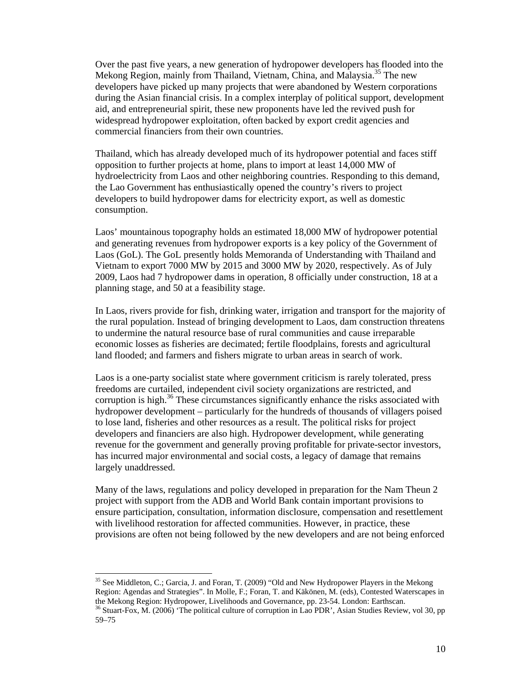Over the past five years, a new generation of hydropower developers has flooded into the Mekong Region, mainly from Thailand, Vietnam, China, and Malaysia.<sup>35</sup> The new developers have picked up many projects that were abandoned by Western corporations during the Asian financial crisis. In a complex interplay of political support, development aid, and entrepreneurial spirit, these new proponents have led the revived push for widespread hydropower exploitation, often backed by export credit agencies and commercial financiers from their own countries.

Thailand, which has already developed much of its hydropower potential and faces stiff opposition to further projects at home, plans to import at least 14,000 MW of hydroelectricity from Laos and other neighboring countries. Responding to this demand, the Lao Government has enthusiastically opened the country's rivers to project developers to build hydropower dams for electricity export, as well as domestic consumption.

Laos' mountainous topography holds an estimated 18,000 MW of hydropower potential and generating revenues from hydropower exports is a key policy of the Government of Laos (GoL). The GoL presently holds Memoranda of Understanding with Thailand and Vietnam to export 7000 MW by 2015 and 3000 MW by 2020, respectively. As of July 2009, Laos had 7 hydropower dams in operation, 8 officially under construction, 18 at a planning stage, and 50 at a feasibility stage.

In Laos, rivers provide for fish, drinking water, irrigation and transport for the majority of the rural population. Instead of bringing development to Laos, dam construction threatens to undermine the natural resource base of rural communities and cause irreparable economic losses as fisheries are decimated; fertile floodplains, forests and agricultural land flooded; and farmers and fishers migrate to urban areas in search of work.

Laos is a one-party socialist state where government criticism is rarely tolerated, press freedoms are curtailed, independent civil society organizations are restricted, and corruption is high.<sup>36</sup> These circumstances significantly enhance the risks associated with hydropower development – particularly for the hundreds of thousands of villagers poised to lose land, fisheries and other resources as a result. The political risks for project developers and financiers are also high. Hydropower development, while generating revenue for the government and generally proving profitable for private-sector investors, has incurred major environmental and social costs, a legacy of damage that remains largely unaddressed.

Many of the laws, regulations and policy developed in preparation for the Nam Theun 2 project with support from the ADB and World Bank contain important provisions to ensure participation, consultation, information disclosure, compensation and resettlement with livelihood restoration for affected communities. However, in practice, these provisions are often not being followed by the new developers and are not being enforced

<sup>&</sup>lt;sup>35</sup> See Middleton, C.; Garcia, J. and Foran, T. (2009) "Old and New Hydropower Players in the Mekong Region: Agendas and Strategies". In Molle, F.; Foran, T. and Käkönen, M. (eds), Contested Waterscapes in the Mekong Region: Hydropower, Livelihoods and Governance, pp. 23-54. London: Earthscan.  $36$  Stuart-Fox, M. (2006) 'The political culture of corruption in Lao PDR', Asian Studies Review, vol 30, pp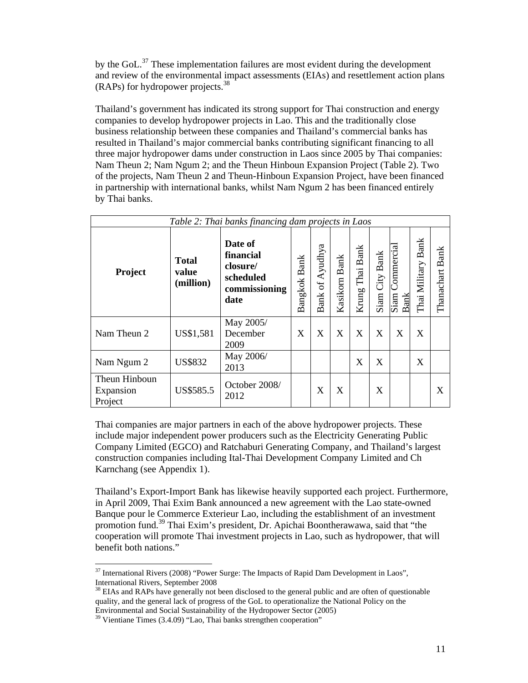by the GoL.37 These implementation failures are most evident during the development and review of the environmental impact assessments (EIAs) and resettlement action plans (RAPs) for hydropower projects.<sup>38</sup>

Thailand's government has indicated its strong support for Thai construction and energy companies to develop hydropower projects in Lao. This and the traditionally close business relationship between these companies and Thailand's commercial banks has resulted in Thailand's major commercial banks contributing significant financing to all three major hydropower dams under construction in Laos since 2005 by Thai companies: Nam Theun 2; Nam Ngum 2; and the Theun Hinboun Expansion Project (Table 2). Two of the projects, Nam Theun 2 and Theun-Hinboun Expansion Project, have been financed in partnership with international banks, whilst Nam Ngum 2 has been financed entirely by Thai banks.

| Table 2: Thai banks financing dam projects in Laos |                                    |                                                                        |              |                 |               |                 |                |                                                       |                              |                 |
|----------------------------------------------------|------------------------------------|------------------------------------------------------------------------|--------------|-----------------|---------------|-----------------|----------------|-------------------------------------------------------|------------------------------|-----------------|
| <b>Project</b>                                     | <b>Total</b><br>value<br>(million) | Date of<br>financial<br>closure/<br>scheduled<br>commissioning<br>date | Bangkok Bank | Bank of Ayudhya | Kasikorn Bank | Krung Thai Bank | Siam City Bank | Commercial<br>$\overline{\text{Siam}}$<br><b>Bank</b> | <b>Bank</b><br>Thai Military | Thanachart Bank |
| Nam Theun 2                                        | US\$1,581                          | May 2005/<br>December<br>2009                                          | X            | X               | X             | X               | X              | X                                                     | X                            |                 |
| Nam Ngum 2                                         | <b>US\$832</b>                     | May 2006/<br>2013                                                      |              |                 |               | X               | X              |                                                       | X                            |                 |
| Theun Hinboun<br>Expansion<br>Project              | US\$585.5                          | October 2008/<br>2012                                                  |              | X               | X             |                 | X              |                                                       |                              | X               |

Thai companies are major partners in each of the above hydropower projects. These include major independent power producers such as the Electricity Generating Public Company Limited (EGCO) and Ratchaburi Generating Company, and Thailand's largest construction companies including Ital-Thai Development Company Limited and Ch Karnchang (see Appendix 1).

Thailand's Export-Import Bank has likewise heavily supported each project. Furthermore, in April 2009, Thai Exim Bank announced a new agreement with the Lao state-owned Banque pour le Commerce Exterieur Lao, including the establishment of an investment promotion fund.39 Thai Exim's president, Dr. Apichai Boontherawawa, said that "the cooperation will promote Thai investment projects in Lao, such as hydropower, that will benefit both nations."

 <sup>37</sup> International Rivers (2008) "Power Surge: The Impacts of Rapid Dam Development in Laos", International Rivers, September 2008

<sup>&</sup>lt;sup>38</sup> EIAs and RAPs have generally not been disclosed to the general public and are often of questionable quality, and the general lack of progress of the GoL to operationalize the National Policy on the Environmental and Social Sustainability of the Hydropower Sector (2005)

 $39$  Vientiane Times (3.4.09) "Lao, Thai banks strengthen cooperation"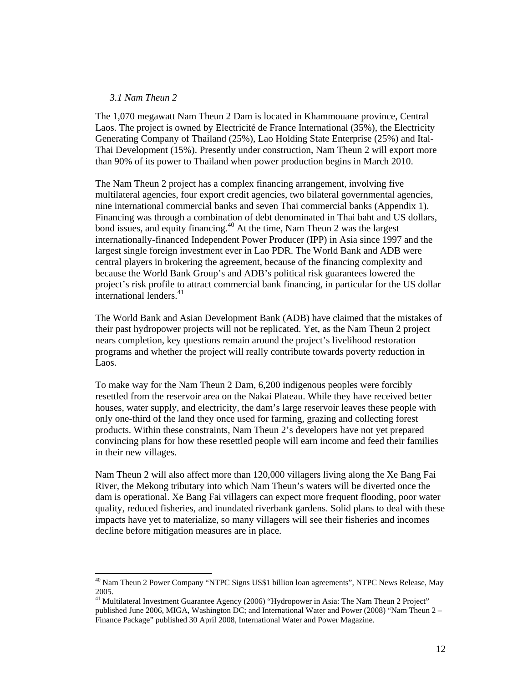#### *3.1 Nam Theun 2*

 $\overline{a}$ 

The 1,070 megawatt Nam Theun 2 Dam is located in Khammouane province, Central Laos. The project is owned by Electricité de France International (35%), the Electricity Generating Company of Thailand (25%), Lao Holding State Enterprise (25%) and Ital-Thai Development (15%). Presently under construction, Nam Theun 2 will export more than 90% of its power to Thailand when power production begins in March 2010.

The Nam Theun 2 project has a complex financing arrangement, involving five multilateral agencies, four export credit agencies, two bilateral governmental agencies, nine international commercial banks and seven Thai commercial banks (Appendix 1). Financing was through a combination of debt denominated in Thai baht and US dollars, bond issues, and equity financing.<sup>40</sup> At the time, Nam Theun 2 was the largest internationally-financed Independent Power Producer (IPP) in Asia since 1997 and the largest single foreign investment ever in Lao PDR. The World Bank and ADB were central players in brokering the agreement, because of the financing complexity and because the World Bank Group's and ADB's political risk guarantees lowered the project's risk profile to attract commercial bank financing, in particular for the US dollar international lenders. $41$ 

The World Bank and Asian Development Bank (ADB) have claimed that the mistakes of their past hydropower projects will not be replicated. Yet, as the Nam Theun 2 project nears completion, key questions remain around the project's livelihood restoration programs and whether the project will really contribute towards poverty reduction in Laos.

To make way for the Nam Theun 2 Dam, 6,200 indigenous peoples were forcibly resettled from the reservoir area on the Nakai Plateau. While they have received better houses, water supply, and electricity, the dam's large reservoir leaves these people with only one-third of the land they once used for farming, grazing and collecting forest products. Within these constraints, Nam Theun 2's developers have not yet prepared convincing plans for how these resettled people will earn income and feed their families in their new villages.

Nam Theun 2 will also affect more than 120,000 villagers living along the Xe Bang Fai River, the Mekong tributary into which Nam Theun's waters will be diverted once the dam is operational. Xe Bang Fai villagers can expect more frequent flooding, poor water quality, reduced fisheries, and inundated riverbank gardens. Solid plans to deal with these impacts have yet to materialize, so many villagers will see their fisheries and incomes decline before mitigation measures are in place.

<sup>&</sup>lt;sup>40</sup> Nam Theun 2 Power Company "NTPC Signs US\$1 billion loan agreements", NTPC News Release, May 2005.

<sup>&</sup>lt;sup>41</sup> Multilateral Investment Guarantee Agency (2006) "Hydropower in Asia: The Nam Theun 2 Project" published June 2006, MIGA, Washington DC; and International Water and Power (2008) "Nam Theun 2 – Finance Package" published 30 April 2008, International Water and Power Magazine.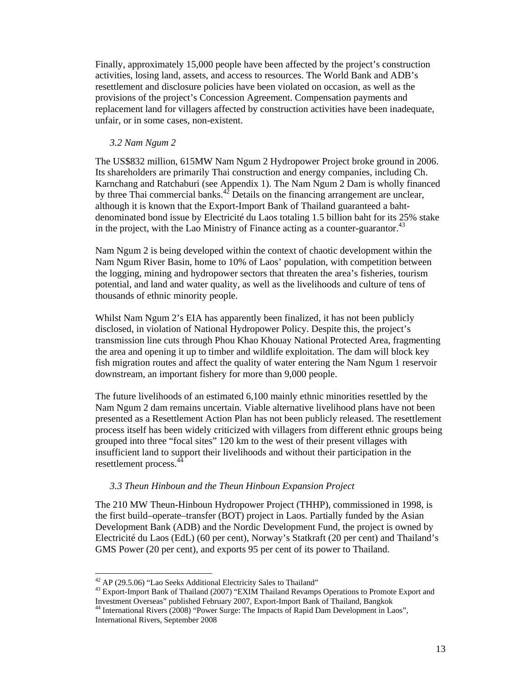Finally, approximately 15,000 people have been affected by the project's construction activities, losing land, assets, and access to resources. The World Bank and ADB's resettlement and disclosure policies have been violated on occasion, as well as the provisions of the project's Concession Agreement. Compensation payments and replacement land for villagers affected by construction activities have been inadequate, unfair, or in some cases, non-existent.

#### *3.2 Nam Ngum 2*

The US\$832 million, 615MW Nam Ngum 2 Hydropower Project broke ground in 2006. Its shareholders are primarily Thai construction and energy companies, including Ch. Karnchang and Ratchaburi (see Appendix 1). The Nam Ngum 2 Dam is wholly financed by three Thai commercial banks. $42$  Details on the financing arrangement are unclear, although it is known that the Export-Import Bank of Thailand guaranteed a bahtdenominated bond issue by Electricité du Laos totaling 1.5 billion baht for its 25% stake in the project, with the Lao Ministry of Finance acting as a counter-guarantor.<sup>43</sup>

Nam Ngum 2 is being developed within the context of chaotic development within the Nam Ngum River Basin, home to 10% of Laos' population, with competition between the logging, mining and hydropower sectors that threaten the area's fisheries, tourism potential, and land and water quality, as well as the livelihoods and culture of tens of thousands of ethnic minority people.

Whilst Nam Ngum 2's EIA has apparently been finalized, it has not been publicly disclosed, in violation of National Hydropower Policy. Despite this, the project's transmission line cuts through Phou Khao Khouay National Protected Area, fragmenting the area and opening it up to timber and wildlife exploitation. The dam will block key fish migration routes and affect the quality of water entering the Nam Ngum 1 reservoir downstream, an important fishery for more than 9,000 people.

The future livelihoods of an estimated 6,100 mainly ethnic minorities resettled by the Nam Ngum 2 dam remains uncertain. Viable alternative livelihood plans have not been presented as a Resettlement Action Plan has not been publicly released. The resettlement process itself has been widely criticized with villagers from different ethnic groups being grouped into three "focal sites" 120 km to the west of their present villages with insufficient land to support their livelihoods and without their participation in the resettlement process.<sup>44</sup>

#### *3.3 Theun Hinboun and the Theun Hinboun Expansion Project*

The 210 MW Theun-Hinboun Hydropower Project (THHP), commissioned in 1998, is the first build–operate–transfer (BOT) project in Laos. Partially funded by the Asian Development Bank (ADB) and the Nordic Development Fund, the project is owned by Electricité du Laos (EdL) (60 per cent), Norway's Statkraft (20 per cent) and Thailand's GMS Power (20 per cent), and exports 95 per cent of its power to Thailand.

 $42$  AP (29.5.06) "Lao Seeks Additional Electricity Sales to Thailand"

<sup>&</sup>lt;sup>43</sup> Export-Import Bank of Thailand (2007) "EXIM Thailand Revamps Operations to Promote Export and Investment Overseas" published February 2007, Export-Import Bank of Thailand, Bangkok

<sup>&</sup>lt;sup>44</sup> International Rivers (2008) "Power Surge: The Impacts of Rapid Dam Development in Laos", International Rivers, September 2008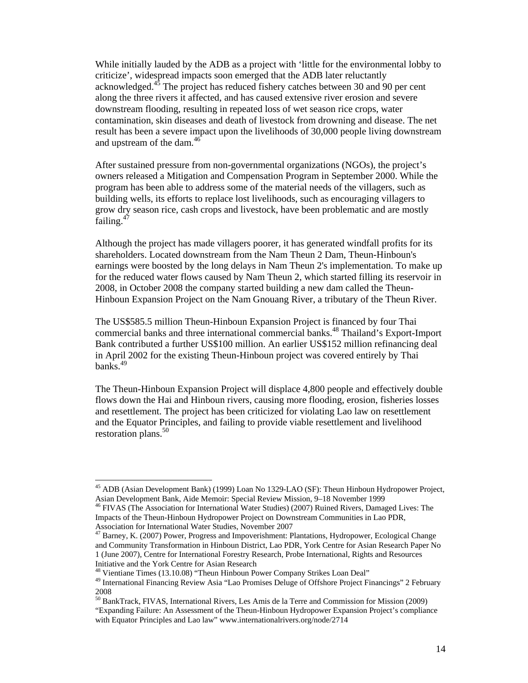While initially lauded by the ADB as a project with 'little for the environmental lobby to criticize', widespread impacts soon emerged that the ADB later reluctantly acknowledged.<sup>45</sup> The project has reduced fishery catches between 30 and 90 per cent along the three rivers it affected, and has caused extensive river erosion and severe downstream flooding, resulting in repeated loss of wet season rice crops, water contamination, skin diseases and death of livestock from drowning and disease. The net result has been a severe impact upon the livelihoods of 30,000 people living downstream and upstream of the dam.<sup>46</sup>

After sustained pressure from non-governmental organizations (NGOs), the project's owners released a Mitigation and Compensation Program in September 2000. While the program has been able to address some of the material needs of the villagers, such as building wells, its efforts to replace lost livelihoods, such as encouraging villagers to grow dry season rice, cash crops and livestock, have been problematic and are mostly failing. $47$ 

Although the project has made villagers poorer, it has generated windfall profits for its shareholders. Located downstream from the Nam Theun 2 Dam, Theun-Hinboun's earnings were boosted by the long delays in Nam Theun 2's implementation. To make up for the reduced water flows caused by Nam Theun 2, which started filling its reservoir in 2008, in October 2008 the company started building a new dam called the Theun-Hinboun Expansion Project on the Nam Gnouang River, a tributary of the Theun River.

The US\$585.5 million Theun-Hinboun Expansion Project is financed by four Thai commercial banks and three international commercial banks.48 Thailand's Export-Import Bank contributed a further US\$100 million. An earlier US\$152 million refinancing deal in April 2002 for the existing Theun-Hinboun project was covered entirely by Thai banks. $49$ 

The Theun-Hinboun Expansion Project will displace 4,800 people and effectively double flows down the Hai and Hinboun rivers, causing more flooding, erosion, fisheries losses and resettlement. The project has been criticized for violating Lao law on resettlement and the Equator Principles, and failing to provide viable resettlement and livelihood restoration plans. $50$ 

<sup>&</sup>lt;sup>45</sup> ADB (Asian Development Bank) (1999) Loan No 1329-LAO (SF): Theun Hinboun Hydropower Project, Asian Development Bank, Aide Memoir: Special Review Mission, 9–18 November 1999

<sup>46</sup> FIVAS (The Association for International Water Studies) (2007) Ruined Rivers, Damaged Lives: The Impacts of the Theun-Hinboun Hydropower Project on Downstream Communities in Lao PDR, Association for International Water Studies, November 2007

 $47$  Barney, K. (2007) Power, Progress and Impoverishment: Plantations, Hydropower, Ecological Change and Community Transformation in Hinboun District, Lao PDR, York Centre for Asian Research Paper No 1 (June 2007), Centre for International Forestry Research, Probe International, Rights and Resources Initiative and the York Centre for Asian Research

<sup>&</sup>lt;sup>48</sup> Vientiane Times (13.10.08) "Theun Hinboun Power Company Strikes Loan Deal"

<sup>&</sup>lt;sup>49</sup> International Financing Review Asia "Lao Promises Deluge of Offshore Project Financings" 2 February 2008

<sup>&</sup>lt;sup>50</sup> BankTrack, FIVAS, International Rivers, Les Amis de la Terre and Commission for Mission (2009) "Expanding Failure: An Assessment of the Theun-Hinboun Hydropower Expansion Project's compliance with Equator Principles and Lao law" www.internationalrivers.org/node/2714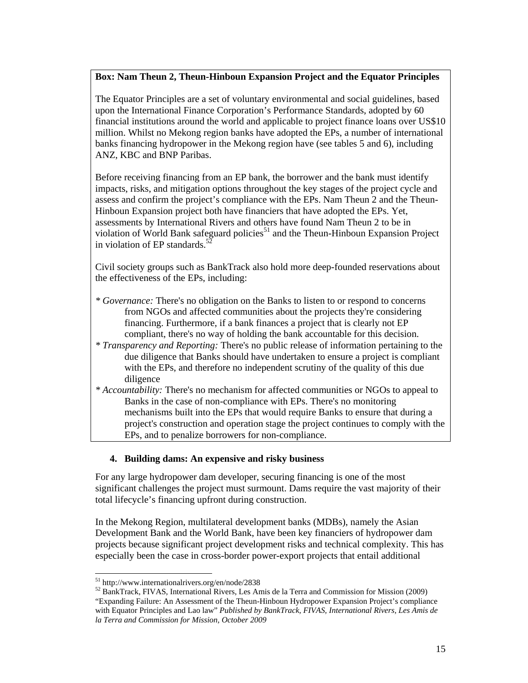### **Box: Nam Theun 2, Theun-Hinboun Expansion Project and the Equator Principles**

The Equator Principles are a set of voluntary environmental and social guidelines, based upon the International Finance Corporation's Performance Standards, adopted by 60 financial institutions around the world and applicable to project finance loans over US\$10 million. Whilst no Mekong region banks have adopted the EPs, a number of international banks financing hydropower in the Mekong region have (see tables 5 and 6), including ANZ, KBC and BNP Paribas.

Before receiving financing from an EP bank, the borrower and the bank must identify impacts, risks, and mitigation options throughout the key stages of the project cycle and assess and confirm the project's compliance with the EPs. Nam Theun 2 and the Theun-Hinboun Expansion project both have financiers that have adopted the EPs. Yet, assessments by International Rivers and others have found Nam Theun 2 to be in violation of World Bank safeguard policies<sup>51</sup> and the Theun-Hinboun Expansion Project in violation of EP standards. $5$ 

Civil society groups such as BankTrack also hold more deep-founded reservations about the effectiveness of the EPs, including:

- *\* Governance:* There's no obligation on the Banks to listen to or respond to concerns from NGOs and affected communities about the projects they're considering financing. Furthermore, if a bank finances a project that is clearly not EP compliant, there's no way of holding the bank accountable for this decision.
- *\* Transparency and Reporting:* There's no public release of information pertaining to the due diligence that Banks should have undertaken to ensure a project is compliant with the EPs, and therefore no independent scrutiny of the quality of this due diligence
- *\* Accountability:* There's no mechanism for affected communities or NGOs to appeal to Banks in the case of non-compliance with EPs. There's no monitoring mechanisms built into the EPs that would require Banks to ensure that during a project's construction and operation stage the project continues to comply with the EPs, and to penalize borrowers for non-compliance.

### **4. Building dams: An expensive and risky business**

For any large hydropower dam developer, securing financing is one of the most significant challenges the project must surmount. Dams require the vast majority of their total lifecycle's financing upfront during construction.

In the Mekong Region, multilateral development banks (MDBs), namely the Asian Development Bank and the World Bank, have been key financiers of hydropower dam projects because significant project development risks and technical complexity. This has especially been the case in cross-border power-export projects that entail additional

<sup>51</sup> http://www.internationalrivers.org/en/node/2838

<sup>52</sup> BankTrack, FIVAS, International Rivers, Les Amis de la Terra and Commission for Mission (2009) "Expanding Failure: An Assessment of the Theun-Hinboun Hydropower Expansion Project's compliance with Equator Principles and Lao law" *Published by BankTrack, FIVAS, International Rivers, Les Amis de la Terra and Commission for Mission, October 2009*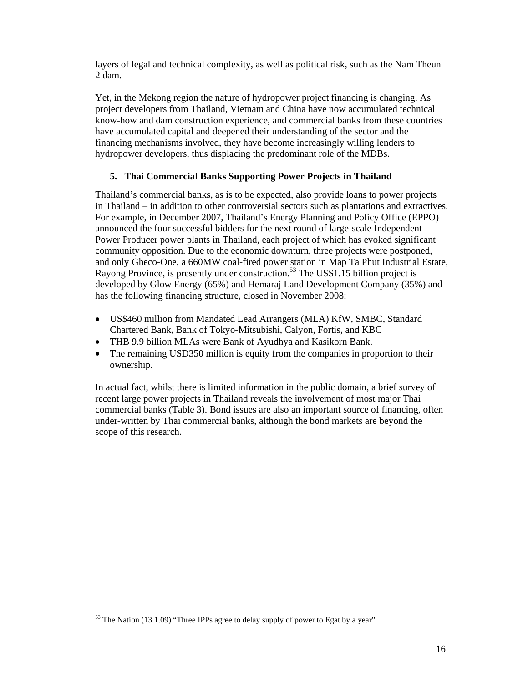layers of legal and technical complexity, as well as political risk, such as the Nam Theun 2 dam.

Yet, in the Mekong region the nature of hydropower project financing is changing. As project developers from Thailand, Vietnam and China have now accumulated technical know-how and dam construction experience, and commercial banks from these countries have accumulated capital and deepened their understanding of the sector and the financing mechanisms involved, they have become increasingly willing lenders to hydropower developers, thus displacing the predominant role of the MDBs.

## **5. Thai Commercial Banks Supporting Power Projects in Thailand**

Thailand's commercial banks, as is to be expected, also provide loans to power projects in Thailand – in addition to other controversial sectors such as plantations and extractives. For example, in December 2007, Thailand's Energy Planning and Policy Office (EPPO) announced the four successful bidders for the next round of large-scale Independent Power Producer power plants in Thailand, each project of which has evoked significant community opposition. Due to the economic downturn, three projects were postponed, and only Gheco-One, a 660MW coal-fired power station in Map Ta Phut Industrial Estate, Rayong Province, is presently under construction.<sup>53</sup> The US\$1.15 billion project is developed by Glow Energy (65%) and Hemaraj Land Development Company (35%) and has the following financing structure, closed in November 2008:

- US\$460 million from Mandated Lead Arrangers (MLA) KfW, SMBC, Standard Chartered Bank, Bank of Tokyo-Mitsubishi, Calyon, Fortis, and KBC
- THB 9.9 billion MLAs were Bank of Ayudhya and Kasikorn Bank.
- The remaining USD350 million is equity from the companies in proportion to their ownership.

In actual fact, whilst there is limited information in the public domain, a brief survey of recent large power projects in Thailand reveals the involvement of most major Thai commercial banks (Table 3). Bond issues are also an important source of financing, often under-written by Thai commercial banks, although the bond markets are beyond the scope of this research.

 $53$  The Nation (13.1.09) "Three IPPs agree to delay supply of power to Egat by a year"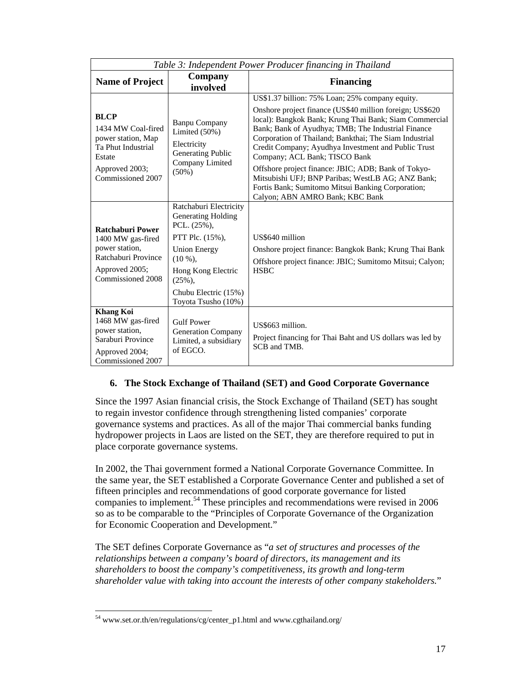|                                                                                                                                | Table 3: Independent Power Producer financing in Thailand                                                                                                                                                           |                                                                                                                                                                                                                                                                                                                                                                                                                                                                                                                                                                                   |
|--------------------------------------------------------------------------------------------------------------------------------|---------------------------------------------------------------------------------------------------------------------------------------------------------------------------------------------------------------------|-----------------------------------------------------------------------------------------------------------------------------------------------------------------------------------------------------------------------------------------------------------------------------------------------------------------------------------------------------------------------------------------------------------------------------------------------------------------------------------------------------------------------------------------------------------------------------------|
| <b>Name of Project</b>                                                                                                         | Company<br>involved                                                                                                                                                                                                 | <b>Financing</b>                                                                                                                                                                                                                                                                                                                                                                                                                                                                                                                                                                  |
| <b>BLCP</b><br>1434 MW Coal-fired<br>power station, Map<br>Ta Phut Industrial<br>Estate<br>Approved 2003;<br>Commissioned 2007 | <b>Banpu Company</b><br>Limited $(50\%)$<br>Electricity<br><b>Generating Public</b><br>Company Limited<br>$(50\%)$                                                                                                  | US\$1.37 billion: 75% Loan; 25% company equity.<br>Onshore project finance (US\$40 million foreign; US\$620<br>local): Bangkok Bank; Krung Thai Bank; Siam Commercial<br>Bank; Bank of Ayudhya; TMB; The Industrial Finance<br>Corporation of Thailand; Bankthai; The Siam Industrial<br>Credit Company; Ayudhya Investment and Public Trust<br>Company; ACL Bank; TISCO Bank<br>Offshore project finance: JBIC; ADB; Bank of Tokyo-<br>Mitsubishi UFJ; BNP Paribas; WestLB AG; ANZ Bank;<br>Fortis Bank; Sumitomo Mitsui Banking Corporation;<br>Calyon; ABN AMRO Bank; KBC Bank |
| <b>Ratchaburi Power</b><br>1400 MW gas-fired<br>power station.<br>Ratchaburi Province<br>Approved 2005;<br>Commissioned 2008   | Ratchaburi Electricity<br><b>Generating Holding</b><br>PCL. $(25\%)$ ,<br>PTT Plc. $(15\%)$ ,<br><b>Union Energy</b><br>$(10\%)$<br>Hong Kong Electric<br>$(25\%)$ ,<br>Chubu Electric (15%)<br>Toyota Tsusho (10%) | US\$640 million<br>Onshore project finance: Bangkok Bank; Krung Thai Bank<br>Offshore project finance: JBIC; Sumitomo Mitsui; Calyon;<br><b>HSBC</b>                                                                                                                                                                                                                                                                                                                                                                                                                              |
| <b>Khang Koi</b><br>1468 MW gas-fired<br>power station,<br>Saraburi Province<br>Approved 2004;<br>Commissioned 2007            | <b>Gulf Power</b><br><b>Generation Company</b><br>Limited, a subsidiary<br>of EGCO.                                                                                                                                 | US\$663 million.<br>Project financing for Thai Baht and US dollars was led by<br>SCB and TMB.                                                                                                                                                                                                                                                                                                                                                                                                                                                                                     |

### **6. The Stock Exchange of Thailand (SET) and Good Corporate Governance**

Since the 1997 Asian financial crisis, the Stock Exchange of Thailand (SET) has sought to regain investor confidence through strengthening listed companies' corporate governance systems and practices. As all of the major Thai commercial banks funding hydropower projects in Laos are listed on the SET, they are therefore required to put in place corporate governance systems.

In 2002, the Thai government formed a National Corporate Governance Committee. In the same year, the SET established a Corporate Governance Center and published a set of fifteen principles and recommendations of good corporate governance for listed companies to implement.54 These principles and recommendations were revised in 2006 so as to be comparable to the "Principles of Corporate Governance of the Organization for Economic Cooperation and Development."

The SET defines Corporate Governance as "*a set of structures and processes of the relationships between a company's board of directors, its management and its shareholders to boost the company's competitiveness, its growth and long-term shareholder value with taking into account the interests of other company stakeholders.*"

 $\overline{a}$ 54 www.set.or.th/en/regulations/cg/center\_p1.html and www.cgthailand.org/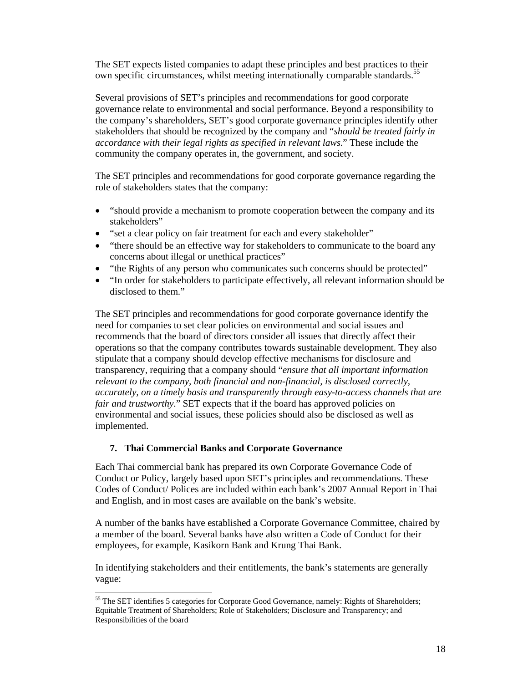The SET expects listed companies to adapt these principles and best practices to their own specific circumstances, whilst meeting internationally comparable standards.<sup>55</sup>

Several provisions of SET's principles and recommendations for good corporate governance relate to environmental and social performance. Beyond a responsibility to the company's shareholders, SET's good corporate governance principles identify other stakeholders that should be recognized by the company and "*should be treated fairly in accordance with their legal rights as specified in relevant laws*." These include the community the company operates in, the government, and society.

The SET principles and recommendations for good corporate governance regarding the role of stakeholders states that the company:

- "should provide a mechanism to promote cooperation between the company and its stakeholders"
- "set a clear policy on fair treatment for each and every stakeholder"
- "there should be an effective way for stakeholders to communicate to the board any concerns about illegal or unethical practices"
- "the Rights of any person who communicates such concerns should be protected"
- "In order for stakeholders to participate effectively, all relevant information should be disclosed to them."

The SET principles and recommendations for good corporate governance identify the need for companies to set clear policies on environmental and social issues and recommends that the board of directors consider all issues that directly affect their operations so that the company contributes towards sustainable development. They also stipulate that a company should develop effective mechanisms for disclosure and transparency, requiring that a company should "*ensure that all important information relevant to the company, both financial and non-financial, is disclosed correctly, accurately, on a timely basis and transparently through easy-to-access channels that are fair and trustworthy*." SET expects that if the board has approved policies on environmental and social issues, these policies should also be disclosed as well as implemented.

### **7. Thai Commercial Banks and Corporate Governance**

 $\overline{a}$ 

Each Thai commercial bank has prepared its own Corporate Governance Code of Conduct or Policy, largely based upon SET's principles and recommendations. These Codes of Conduct/ Polices are included within each bank's 2007 Annual Report in Thai and English, and in most cases are available on the bank's website.

A number of the banks have established a Corporate Governance Committee, chaired by a member of the board. Several banks have also written a Code of Conduct for their employees, for example, Kasikorn Bank and Krung Thai Bank.

In identifying stakeholders and their entitlements, the bank's statements are generally vague:

<sup>&</sup>lt;sup>55</sup> The SET identifies 5 categories for Corporate Good Governance, namely: Rights of Shareholders; Equitable Treatment of Shareholders; Role of Stakeholders; Disclosure and Transparency; and Responsibilities of the board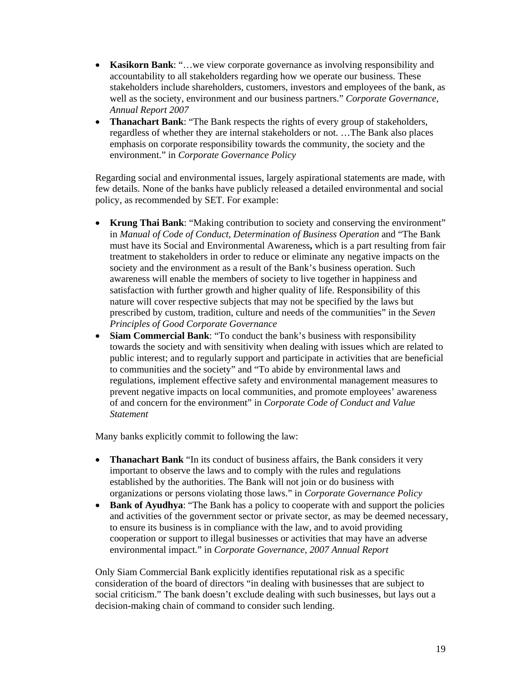- **Kasikorn Bank**: "...we view corporate governance as involving responsibility and accountability to all stakeholders regarding how we operate our business. These stakeholders include shareholders, customers, investors and employees of the bank, as well as the society, environment and our business partners." *Corporate Governance, Annual Report 2007*
- **Thanachart Bank**: "The Bank respects the rights of every group of stakeholders, regardless of whether they are internal stakeholders or not. …The Bank also places emphasis on corporate responsibility towards the community, the society and the environment." in *Corporate Governance Policy*

Regarding social and environmental issues, largely aspirational statements are made, with few details. None of the banks have publicly released a detailed environmental and social policy, as recommended by SET. For example:

- **Krung Thai Bank**: "Making contribution to society and conserving the environment" in *Manual of Code of Conduct, Determination of Business Operation* and "The Bank must have its Social and Environmental Awareness**,** which is a part resulting from fair treatment to stakeholders in order to reduce or eliminate any negative impacts on the society and the environment as a result of the Bank's business operation. Such awareness will enable the members of society to live together in happiness and satisfaction with further growth and higher quality of life. Responsibility of this nature will cover respective subjects that may not be specified by the laws but prescribed by custom, tradition, culture and needs of the communities" in the *Seven Principles of Good Corporate Governance*
- **Siam Commercial Bank**: "To conduct the bank's business with responsibility towards the society and with sensitivity when dealing with issues which are related to public interest; and to regularly support and participate in activities that are beneficial to communities and the society" and "To abide by environmental laws and regulations, implement effective safety and environmental management measures to prevent negative impacts on local communities, and promote employees' awareness of and concern for the environment" in *Corporate Code of Conduct and Value Statement*

Many banks explicitly commit to following the law:

- **Thanachart Bank** "In its conduct of business affairs, the Bank considers it very important to observe the laws and to comply with the rules and regulations established by the authorities. The Bank will not join or do business with organizations or persons violating those laws." in *Corporate Governance Policy*
- **Bank of Ayudhya**: "The Bank has a policy to cooperate with and support the policies and activities of the government sector or private sector, as may be deemed necessary, to ensure its business is in compliance with the law, and to avoid providing cooperation or support to illegal businesses or activities that may have an adverse environmental impact." in *Corporate Governance, 2007 Annual Report*

Only Siam Commercial Bank explicitly identifies reputational risk as a specific consideration of the board of directors "in dealing with businesses that are subject to social criticism." The bank doesn't exclude dealing with such businesses, but lays out a decision-making chain of command to consider such lending.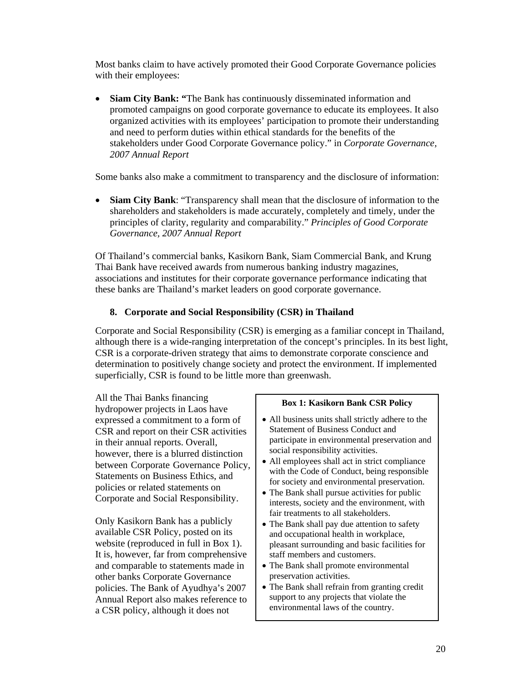Most banks claim to have actively promoted their Good Corporate Governance policies with their employees:

• **Siam City Bank: "**The Bank has continuously disseminated information and promoted campaigns on good corporate governance to educate its employees. It also organized activities with its employees' participation to promote their understanding and need to perform duties within ethical standards for the benefits of the stakeholders under Good Corporate Governance policy." in *Corporate Governance, 2007 Annual Report* 

Some banks also make a commitment to transparency and the disclosure of information:

• **Siam City Bank**: "Transparency shall mean that the disclosure of information to the shareholders and stakeholders is made accurately, completely and timely, under the principles of clarity, regularity and comparability." *Principles of Good Corporate Governance, 2007 Annual Report*

Of Thailand's commercial banks, Kasikorn Bank, Siam Commercial Bank, and Krung Thai Bank have received awards from numerous banking industry magazines, associations and institutes for their corporate governance performance indicating that these banks are Thailand's market leaders on good corporate governance.

## **8. Corporate and Social Responsibility (CSR) in Thailand**

Corporate and Social Responsibility (CSR) is emerging as a familiar concept in Thailand, although there is a wide-ranging interpretation of the concept's principles. In its best light, CSR is a corporate-driven strategy that aims to demonstrate corporate conscience and determination to positively change society and protect the environment. If implemented superficially, CSR is found to be little more than greenwash.

All the Thai Banks financing hydropower projects in Laos have expressed a commitment to a form of CSR and report on their CSR activities in their annual reports. Overall, however, there is a blurred distinction between Corporate Governance Policy, Statements on Business Ethics, and policies or related statements on Corporate and Social Responsibility.

Only Kasikorn Bank has a publicly available CSR Policy, posted on its website (reproduced in full in Box 1). It is, however, far from comprehensive and comparable to statements made in other banks Corporate Governance policies. The Bank of Ayudhya's 2007 Annual Report also makes reference to a CSR policy, although it does not

#### **Box 1: Kasikorn Bank CSR Policy**

- All business units shall strictly adhere to the Statement of Business Conduct and participate in environmental preservation and social responsibility activities.
- All employees shall act in strict compliance with the Code of Conduct, being responsible for society and environmental preservation.
- The Bank shall pursue activities for public interests, society and the environment, with fair treatments to all stakeholders.
- The Bank shall pay due attention to safety and occupational health in workplace, pleasant surrounding and basic facilities for staff members and customers.
- The Bank shall promote environmental preservation activities.
- The Bank shall refrain from granting credit support to any projects that violate the environmental laws of the country.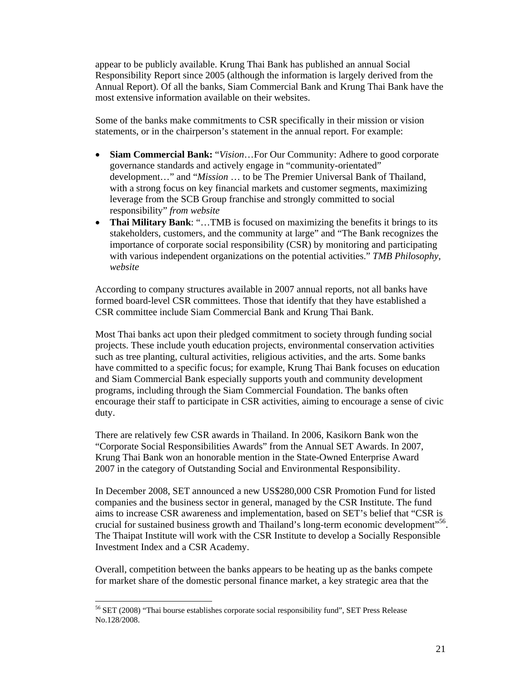appear to be publicly available. Krung Thai Bank has published an annual Social Responsibility Report since 2005 (although the information is largely derived from the Annual Report). Of all the banks, Siam Commercial Bank and Krung Thai Bank have the most extensive information available on their websites.

Some of the banks make commitments to CSR specifically in their mission or vision statements, or in the chairperson's statement in the annual report. For example:

- **Siam Commercial Bank:** "*Vision*…For Our Community: Adhere to good corporate governance standards and actively engage in "community-orientated" development…" and "*Mission* … to be The Premier Universal Bank of Thailand, with a strong focus on key financial markets and customer segments, maximizing leverage from the SCB Group franchise and strongly committed to social responsibility" *from website*
- **Thai Military Bank**: "…TMB is focused on maximizing the benefits it brings to its stakeholders, customers, and the community at large" and "The Bank recognizes the importance of corporate social responsibility (CSR) by monitoring and participating with various independent organizations on the potential activities." *TMB Philosophy, website*

According to company structures available in 2007 annual reports, not all banks have formed board-level CSR committees. Those that identify that they have established a CSR committee include Siam Commercial Bank and Krung Thai Bank.

Most Thai banks act upon their pledged commitment to society through funding social projects. These include youth education projects, environmental conservation activities such as tree planting, cultural activities, religious activities, and the arts. Some banks have committed to a specific focus; for example, Krung Thai Bank focuses on education and Siam Commercial Bank especially supports youth and community development programs, including through the Siam Commercial Foundation. The banks often encourage their staff to participate in CSR activities, aiming to encourage a sense of civic duty.

There are relatively few CSR awards in Thailand. In 2006, Kasikorn Bank won the "Corporate Social Responsibilities Awards" from the Annual SET Awards. In 2007, Krung Thai Bank won an honorable mention in the State-Owned Enterprise Award 2007 in the category of Outstanding Social and Environmental Responsibility.

In December 2008, SET announced a new US\$280,000 CSR Promotion Fund for listed companies and the business sector in general, managed by the CSR Institute. The fund aims to increase CSR awareness and implementation, based on SET's belief that "CSR is crucial for sustained business growth and Thailand's long-term economic development"<sup>56</sup>. The Thaipat Institute will work with the CSR Institute to develop a Socially Responsible Investment Index and a CSR Academy.

Overall, competition between the banks appears to be heating up as the banks compete for market share of the domestic personal finance market, a key strategic area that the

 $\overline{a}$ 56 SET (2008) "Thai bourse establishes corporate social responsibility fund", SET Press Release No.128/2008.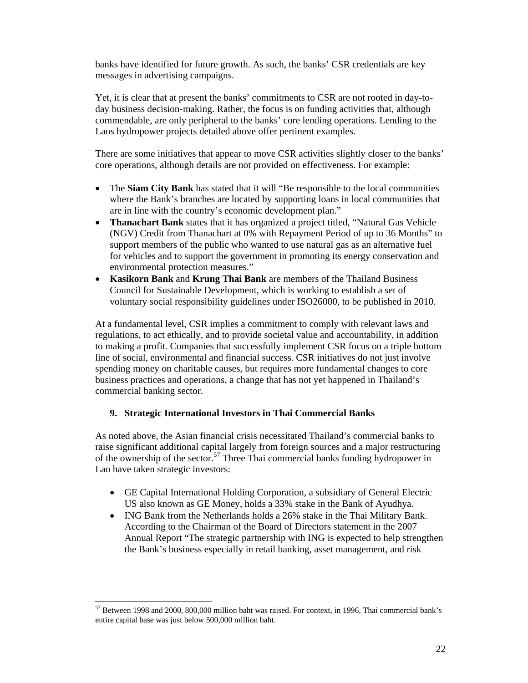banks have identified for future growth. As such, the banks' CSR credentials are key messages in advertising campaigns.

Yet, it is clear that at present the banks' commitments to CSR are not rooted in day-today business decision-making. Rather, the focus is on funding activities that, although commendable, are only peripheral to the banks' core lending operations. Lending to the Laos hydropower projects detailed above offer pertinent examples.

There are some initiatives that appear to move CSR activities slightly closer to the banks' core operations, although details are not provided on effectiveness. For example:

- The **Siam City Bank** has stated that it will "Be responsible to the local communities" where the Bank's branches are located by supporting loans in local communities that are in line with the country's economic development plan."
- **Thanachart Bank** states that it has organized a project titled, "Natural Gas Vehicle (NGV) Credit from Thanachart at 0% with Repayment Period of up to 36 Months" to support members of the public who wanted to use natural gas as an alternative fuel for vehicles and to support the government in promoting its energy conservation and environmental protection measures."
- **Kasikorn Bank** and **Krung Thai Bank** are members of the Thailand Business Council for Sustainable Development, which is working to establish a set of voluntary social responsibility guidelines under ISO26000, to be published in 2010.

At a fundamental level, CSR implies a commitment to comply with relevant laws and regulations, to act ethically, and to provide societal value and accountability, in addition to making a profit. Companies that successfully implement CSR focus on a triple bottom line of social, environmental and financial success. CSR initiatives do not just involve spending money on charitable causes, but requires more fundamental changes to core business practices and operations, a change that has not yet happened in Thailand's commercial banking sector.

### **9. Strategic International Investors in Thai Commercial Banks**

As noted above, the Asian financial crisis necessitated Thailand's commercial banks to raise significant additional capital largely from foreign sources and a major restructuring of the ownership of the sector.<sup>57</sup> Three Thai commercial banks funding hydropower in Lao have taken strategic investors:

- GE Capital International Holding Corporation, a subsidiary of General Electric US also known as GE Money, holds a 33% stake in the Bank of Ayudhya.
- ING Bank from the Netherlands holds a 26% stake in the Thai Military Bank. According to the Chairman of the Board of Directors statement in the 2007 Annual Report "The strategic partnership with ING is expected to help strengthen the Bank's business especially in retail banking, asset management, and risk

<sup>57</sup> Between 1998 and 2000, 800,000 million baht was raised. For context, in 1996, Thai commercial bank's entire capital base was just below 500,000 million baht.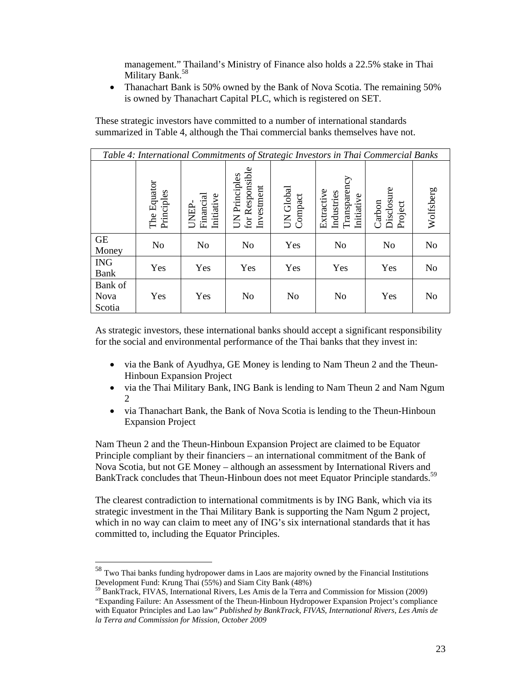management." Thailand's Ministry of Finance also holds a 22.5% stake in Thai Military Bank.<sup>58</sup>

• Thanachart Bank is 50% owned by the Bank of Nova Scotia. The remaining 50% is owned by Thanachart Capital PLC, which is registered on SET.

These strategic investors have committed to a number of international standards summarized in Table 4, although the Thai commercial banks themselves have not.

|                           | Table 4: International Commitments of Strategic Investors in Thai Commercial Banks |                                  |                                                |                      |                                                        |                                 |                |  |  |  |
|---------------------------|------------------------------------------------------------------------------------|----------------------------------|------------------------------------------------|----------------------|--------------------------------------------------------|---------------------------------|----------------|--|--|--|
|                           | The Equator<br>Principles                                                          | Financial<br>Initiative<br>UNEP- | for Responsible<br>UN Principles<br>Investment | UN Global<br>Compact | Transparency<br>Extractive<br>Industries<br>Initiative | Disclosure<br>Carbon<br>Project | Wolfsberg      |  |  |  |
| <b>GE</b><br>Money        | N <sub>o</sub>                                                                     | No                               | N <sub>0</sub>                                 | Yes                  | N <sub>0</sub>                                         | N <sub>0</sub>                  | N <sub>0</sub> |  |  |  |
| <b>ING</b><br>Bank        | Yes                                                                                | Yes                              | Yes                                            | Yes                  | Yes                                                    | Yes                             | No             |  |  |  |
| Bank of<br>Nova<br>Scotia | Yes                                                                                | Yes                              | No                                             | No                   | N <sub>o</sub>                                         | Yes                             | No             |  |  |  |

As strategic investors, these international banks should accept a significant responsibility for the social and environmental performance of the Thai banks that they invest in:

- via the Bank of Ayudhya, GE Money is lending to Nam Theun 2 and the Theun-Hinboun Expansion Project
- via the Thai Military Bank, ING Bank is lending to Nam Theun 2 and Nam Ngum 2
- via Thanachart Bank, the Bank of Nova Scotia is lending to the Theun-Hinboun Expansion Project

Nam Theun 2 and the Theun-Hinboun Expansion Project are claimed to be Equator Principle compliant by their financiers – an international commitment of the Bank of Nova Scotia, but not GE Money – although an assessment by International Rivers and BankTrack concludes that Theun-Hinboun does not meet Equator Principle standards.<sup>59</sup>

The clearest contradiction to international commitments is by ING Bank, which via its strategic investment in the Thai Military Bank is supporting the Nam Ngum 2 project, which in no way can claim to meet any of ING's six international standards that it has committed to, including the Equator Principles.

 $58$  Two Thai banks funding hydropower dams in Laos are majority owned by the Financial Institutions Development Fund: Krung Thai (55%) and Siam City Bank (48%)

<sup>59</sup> BankTrack, FIVAS, International Rivers, Les Amis de la Terra and Commission for Mission (2009) "Expanding Failure: An Assessment of the Theun-Hinboun Hydropower Expansion Project's compliance with Equator Principles and Lao law" *Published by BankTrack, FIVAS, International Rivers, Les Amis de la Terra and Commission for Mission, October 2009*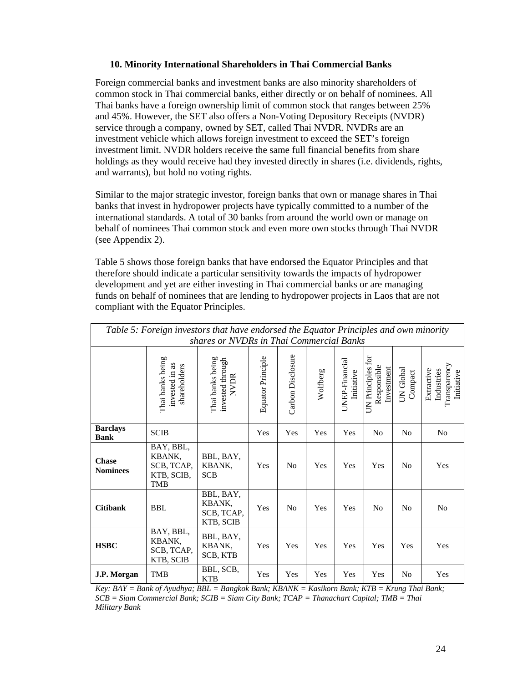#### **10. Minority International Shareholders in Thai Commercial Banks**

Foreign commercial banks and investment banks are also minority shareholders of common stock in Thai commercial banks, either directly or on behalf of nominees. All Thai banks have a foreign ownership limit of common stock that ranges between 25% and 45%. However, the SET also offers a Non-Voting Depository Receipts (NVDR) service through a company, owned by SET, called Thai NVDR. NVDRs are an investment vehicle which allows foreign investment to exceed the SET's foreign investment limit. NVDR holders receive the same full financial benefits from share holdings as they would receive had they invested directly in shares (i.e. dividends, rights, and warrants), but hold no voting rights.

Similar to the major strategic investor, foreign banks that own or manage shares in Thai banks that invest in hydropower projects have typically committed to a number of the international standards. A total of 30 banks from around the world own or manage on behalf of nominees Thai common stock and even more own stocks through Thai NVDR (see Appendix 2).

Table 5 shows those foreign banks that have endorsed the Equator Principles and that therefore should indicate a particular sensitivity towards the impacts of hydropower development and yet are either investing in Thai commercial banks or are managing funds on behalf of nominees that are lending to hydropower projects in Laos that are not compliant with the Equator Principles.

| Table 5: Foreign investors that have endorsed the Equator Principles and own minority |                                                               |                                                     |                   |                   |          |                              |                                                |                      |                                                        |
|---------------------------------------------------------------------------------------|---------------------------------------------------------------|-----------------------------------------------------|-------------------|-------------------|----------|------------------------------|------------------------------------------------|----------------------|--------------------------------------------------------|
| shares or NVDRs in Thai Commercial Banks                                              |                                                               |                                                     |                   |                   |          |                              |                                                |                      |                                                        |
|                                                                                       | Thai banks being<br>invested in as<br>shareholders            | Thai banks being<br>invested through<br><b>NVDR</b> | Equator Principle | Carbon Disclosure | Wolfberg | UNEP-Financial<br>Initiative | UN Principles for<br>Responsible<br>Investment | UN Global<br>Compact | Transparency<br>Extractive<br>Industries<br>Initiative |
| <b>Barclays</b><br><b>Bank</b>                                                        | <b>SCIB</b>                                                   |                                                     | Yes               | Yes               | Yes      | Yes                          | N <sub>0</sub>                                 | N <sub>0</sub>       | No                                                     |
| <b>Chase</b><br><b>Nominees</b>                                                       | BAY, BBL,<br>KBANK,<br>SCB, TCAP,<br>KTB, SCIB,<br><b>TMB</b> | BBL, BAY,<br>KBANK,<br><b>SCB</b>                   | Yes               | N <sub>0</sub>    | Yes      | Yes                          | Yes                                            | N <sub>0</sub>       | Yes                                                    |
| <b>Citibank</b>                                                                       | <b>BBL</b>                                                    | BBL, BAY,<br>KBANK,<br>SCB, TCAP,<br>KTB, SCIB      | Yes               | N <sub>0</sub>    | Yes      | Yes                          | No                                             | N <sub>0</sub>       | No                                                     |
| <b>HSBC</b>                                                                           | BAY, BBL,<br>KBANK,<br>SCB, TCAP,<br>KTB, SCIB                | BBL, BAY,<br>KBANK,<br>SCB, KTB                     | Yes               | Yes               | Yes      | Yes                          | Yes                                            | Yes                  | Yes                                                    |
| J.P. Morgan                                                                           | <b>TMB</b>                                                    | BBL, SCB,<br><b>KTB</b>                             | Yes               | Yes               | Yes      | Yes                          | Yes                                            | No                   | Yes                                                    |

*Key: BAY = Bank of Ayudhya; BBL = Bangkok Bank; KBANK = Kasikorn Bank; KTB = Krung Thai Bank; SCB = Siam Commercial Bank; SCIB = Siam City Bank; TCAP = Thanachart Capital; TMB = Thai Military Bank*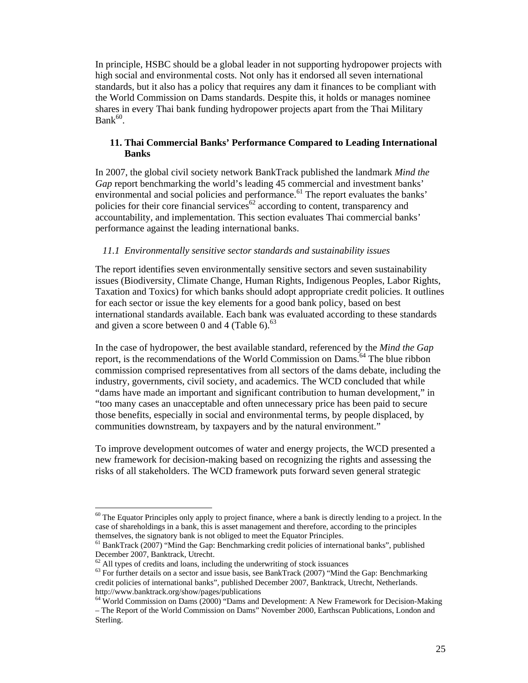In principle, HSBC should be a global leader in not supporting hydropower projects with high social and environmental costs. Not only has it endorsed all seven international standards, but it also has a policy that requires any dam it finances to be compliant with the World Commission on Dams standards. Despite this, it holds or manages nominee shares in every Thai bank funding hydropower projects apart from the Thai Military  $Bank<sup>60</sup>$ .

#### **11. Thai Commercial Banks' Performance Compared to Leading International Banks**

In 2007, the global civil society network BankTrack published the landmark *Mind the Gap* report benchmarking the world's leading 45 commercial and investment banks' environmental and social policies and performance.<sup>61</sup> The report evaluates the banks' policies for their core financial services<sup>62</sup> according to content, transparency and accountability, and implementation. This section evaluates Thai commercial banks' performance against the leading international banks.

#### *11.1 Environmentally sensitive sector standards and sustainability issues*

The report identifies seven environmentally sensitive sectors and seven sustainability issues (Biodiversity, Climate Change, Human Rights, Indigenous Peoples, Labor Rights, Taxation and Toxics) for which banks should adopt appropriate credit policies. It outlines for each sector or issue the key elements for a good bank policy, based on best international standards available. Each bank was evaluated according to these standards and given a score between 0 and 4 (Table 6). $63$ 

In the case of hydropower, the best available standard, referenced by the *Mind the Gap* report, is the recommendations of the World Commission on Dams.<sup>64</sup> The blue ribbon commission comprised representatives from all sectors of the dams debate, including the industry, governments, civil society, and academics. The WCD concluded that while "dams have made an important and significant contribution to human development," in "too many cases an unacceptable and often unnecessary price has been paid to secure those benefits, especially in social and environmental terms, by people displaced, by communities downstream, by taxpayers and by the natural environment."

To improve development outcomes of water and energy projects, the WCD presented a new framework for decision-making based on recognizing the rights and assessing the risks of all stakeholders. The WCD framework puts forward seven general strategic

 $60$  The Equator Principles only apply to project finance, where a bank is directly lending to a project. In the case of shareholdings in a bank, this is asset management and therefore, according to the principles themselves, the signatory bank is not obliged to meet the Equator Principles.

<sup>&</sup>lt;sup>61</sup> BankTrack (2007) "Mind the Gap: Benchmarking credit policies of international banks", published December 2007, Banktrack, Utrecht.

 $62$  All types of credits and loans, including the underwriting of stock issuances

 $63$  For further details on a sector and issue basis, see BankTrack (2007) "Mind the Gap: Benchmarking credit policies of international banks", published December 2007, Banktrack, Utrecht, Netherlands. http://www.banktrack.org/show/pages/publications

 $64$  World Commission on Dams (2000) "Dams and Development: A New Framework for Decision-Making – The Report of the World Commission on Dams" November 2000, Earthscan Publications, London and Sterling.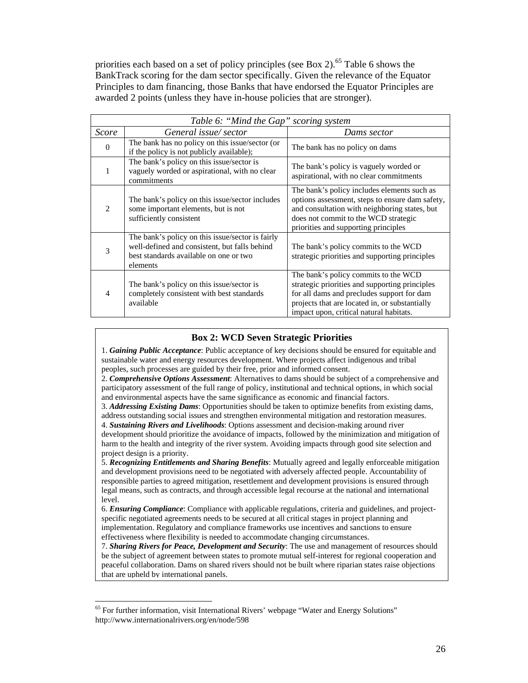priorities each based on a set of policy principles (see Box 2).<sup>65</sup> Table 6 shows the BankTrack scoring for the dam sector specifically. Given the relevance of the Equator Principles to dam financing, those Banks that have endorsed the Equator Principles are awarded 2 points (unless they have in-house policies that are stronger).

| Table 6: "Mind the Gap" scoring system |                                                                                                                                                         |                                                                                                                                                                                                                                   |  |  |  |  |
|----------------------------------------|---------------------------------------------------------------------------------------------------------------------------------------------------------|-----------------------------------------------------------------------------------------------------------------------------------------------------------------------------------------------------------------------------------|--|--|--|--|
| <i>Score</i>                           | General issue/sector                                                                                                                                    | Dams sector                                                                                                                                                                                                                       |  |  |  |  |
| $\Omega$                               | The bank has no policy on this issue/sector (or<br>if the policy is not publicly available);                                                            | The bank has no policy on dams                                                                                                                                                                                                    |  |  |  |  |
|                                        | The bank's policy on this issue/sector is<br>vaguely worded or aspirational, with no clear<br>commitments                                               | The bank's policy is vaguely worded or<br>aspirational, with no clear commitments                                                                                                                                                 |  |  |  |  |
| $\mathcal{D}_{\mathcal{L}}$            | The bank's policy on this issue/sector includes<br>some important elements, but is not<br>sufficiently consistent                                       | The bank's policy includes elements such as<br>options assessment, steps to ensure dam safety,<br>and consultation with neighboring states, but<br>does not commit to the WCD strategic<br>priorities and supporting principles   |  |  |  |  |
| 3                                      | The bank's policy on this issue/sector is fairly<br>well-defined and consistent, but falls behind<br>best standards available on one or two<br>elements | The bank's policy commits to the WCD<br>strategic priorities and supporting principles                                                                                                                                            |  |  |  |  |
| 4                                      | The bank's policy on this issue/sector is<br>completely consistent with best standards<br>available                                                     | The bank's policy commits to the WCD<br>strategic priorities and supporting principles<br>for all dams and precludes support for dam<br>projects that are located in, or substantially<br>impact upon, critical natural habitats. |  |  |  |  |

#### **Box 2: WCD Seven Strategic Priorities**

1. *Gaining Public Acceptance*: Public acceptance of key decisions should be ensured for equitable and sustainable water and energy resources development. Where projects affect indigenous and tribal peoples, such processes are guided by their free, prior and informed consent.

2. *Comprehensive Options Assessment*: Alternatives to dams should be subject of a comprehensive and participatory assessment of the full range of policy, institutional and technical options, in which social and environmental aspects have the same significance as economic and financial factors.

3. *Addressing Existing Dams*: Opportunities should be taken to optimize benefits from existing dams, address outstanding social issues and strengthen environmental mitigation and restoration measures. 4. *Sustaining Rivers and Livelihoods*: Options assessment and decision-making around river

development should prioritize the avoidance of impacts, followed by the minimization and mitigation of harm to the health and integrity of the river system. Avoiding impacts through good site selection and project design is a priority.

5. *Recognizing Entitlements and Sharing Benefits*: Mutually agreed and legally enforceable mitigation and development provisions need to be negotiated with adversely affected people. Accountability of responsible parties to agreed mitigation, resettlement and development provisions is ensured through legal means, such as contracts, and through accessible legal recourse at the national and international level.

6. *Ensuring Compliance*: Compliance with applicable regulations, criteria and guidelines, and projectspecific negotiated agreements needs to be secured at all critical stages in project planning and implementation. Regulatory and compliance frameworks use incentives and sanctions to ensure effectiveness where flexibility is needed to accommodate changing circumstances.

7. *Sharing Rivers for Peace, Development and Security*: The use and management of resources should be the subject of agreement between states to promote mutual self-interest for regional cooperation and peaceful collaboration. Dams on shared rivers should not be built where riparian states raise objections that are upheld by international panels.

 $<sup>65</sup>$  For further information, visit International Rivers' webpage "Water and Energy Solutions"</sup> http://www.internationalrivers.org/en/node/598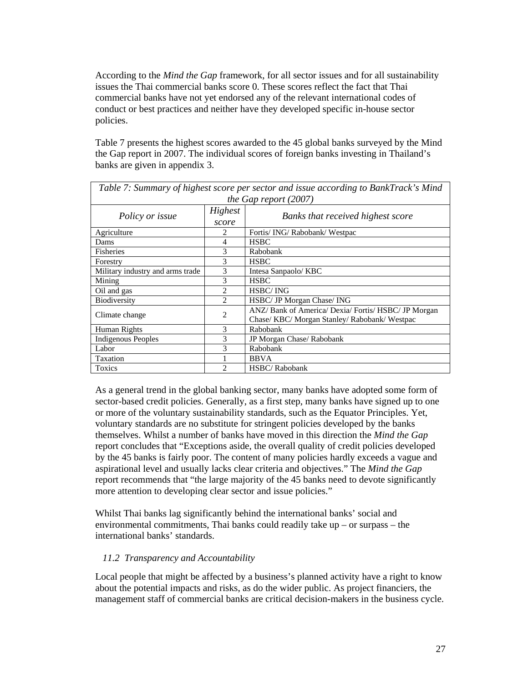According to the *Mind the Gap* framework, for all sector issues and for all sustainability issues the Thai commercial banks score 0. These scores reflect the fact that Thai commercial banks have not yet endorsed any of the relevant international codes of conduct or best practices and neither have they developed specific in-house sector policies.

Table 7 presents the highest scores awarded to the 45 global banks surveyed by the Mind the Gap report in 2007. The individual scores of foreign banks investing in Thailand's banks are given in appendix 3.

| Table 7: Summary of highest score per sector and issue according to BankTrack's Mind |                |                                                      |  |  |  |  |  |  |
|--------------------------------------------------------------------------------------|----------------|------------------------------------------------------|--|--|--|--|--|--|
| the Gap report $(2007)$                                                              |                |                                                      |  |  |  |  |  |  |
| Policy or issue                                                                      | Highest        | Banks that received highest score                    |  |  |  |  |  |  |
|                                                                                      | score          |                                                      |  |  |  |  |  |  |
| Agriculture                                                                          | 2              | Fortis/ING/Rabobank/Westpac                          |  |  |  |  |  |  |
| Dams                                                                                 | 4              | <b>HSBC</b>                                          |  |  |  |  |  |  |
| <b>Fisheries</b>                                                                     | 3              | Rabobank                                             |  |  |  |  |  |  |
| Forestry                                                                             | 3              | <b>HSBC</b>                                          |  |  |  |  |  |  |
| Military industry and arms trade                                                     | 3              | Intesa Sanpaolo/KBC                                  |  |  |  |  |  |  |
| Mining                                                                               | 3              | <b>HSBC</b>                                          |  |  |  |  |  |  |
| Oil and gas                                                                          | $\overline{c}$ | <b>HSBC/ING</b>                                      |  |  |  |  |  |  |
| Biodiversity                                                                         | $\mathfrak{D}$ | HSBC/ JP Morgan Chase/ ING                           |  |  |  |  |  |  |
| Climate change                                                                       | 2              | ANZ/ Bank of America/ Dexia/ Fortis/ HSBC/ JP Morgan |  |  |  |  |  |  |
|                                                                                      |                | Chase/ KBC/ Morgan Stanley/ Rabobank/ Westpac        |  |  |  |  |  |  |
| Human Rights                                                                         | 3              | Rabobank                                             |  |  |  |  |  |  |
| <b>Indigenous Peoples</b>                                                            | 3              | JP Morgan Chase/ Rabobank                            |  |  |  |  |  |  |
| Labor                                                                                | 3              | Rabobank                                             |  |  |  |  |  |  |
| Taxation                                                                             |                | <b>BBVA</b>                                          |  |  |  |  |  |  |
| Toxics                                                                               | $\overline{c}$ | <b>HSBC/Rabobank</b>                                 |  |  |  |  |  |  |

As a general trend in the global banking sector, many banks have adopted some form of sector-based credit policies. Generally, as a first step, many banks have signed up to one or more of the voluntary sustainability standards, such as the Equator Principles. Yet, voluntary standards are no substitute for stringent policies developed by the banks themselves. Whilst a number of banks have moved in this direction the *Mind the Gap* report concludes that "Exceptions aside, the overall quality of credit policies developed by the 45 banks is fairly poor. The content of many policies hardly exceeds a vague and aspirational level and usually lacks clear criteria and objectives." The *Mind the Gap* report recommends that "the large majority of the 45 banks need to devote significantly more attention to developing clear sector and issue policies."

Whilst Thai banks lag significantly behind the international banks' social and environmental commitments, Thai banks could readily take up – or surpass – the international banks' standards.

#### *11.2 Transparency and Accountability*

Local people that might be affected by a business's planned activity have a right to know about the potential impacts and risks, as do the wider public. As project financiers, the management staff of commercial banks are critical decision-makers in the business cycle.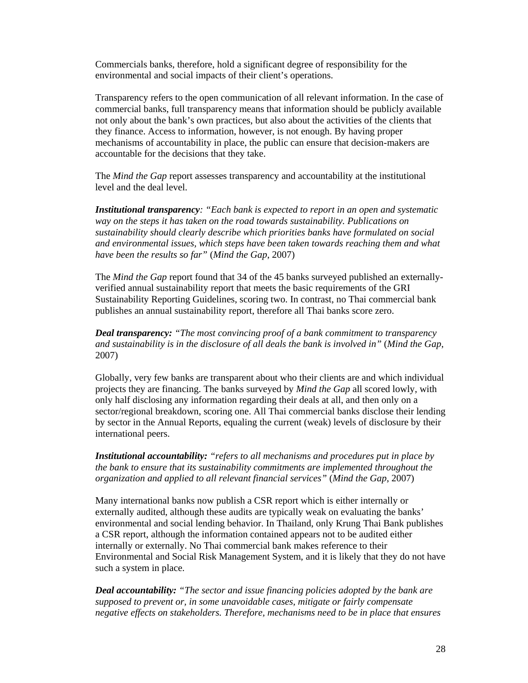Commercials banks, therefore, hold a significant degree of responsibility for the environmental and social impacts of their client's operations.

Transparency refers to the open communication of all relevant information. In the case of commercial banks, full transparency means that information should be publicly available not only about the bank's own practices, but also about the activities of the clients that they finance. Access to information, however, is not enough. By having proper mechanisms of accountability in place, the public can ensure that decision-makers are accountable for the decisions that they take.

The *Mind the Gap* report assesses transparency and accountability at the institutional level and the deal level.

*Institutional transparency: "Each bank is expected to report in an open and systematic way on the steps it has taken on the road towards sustainability. Publications on sustainability should clearly describe which priorities banks have formulated on social and environmental issues, which steps have been taken towards reaching them and what have been the results so far"* (*Mind the Gap*, 2007)

The *Mind the Gap* report found that 34 of the 45 banks surveyed published an externallyverified annual sustainability report that meets the basic requirements of the GRI Sustainability Reporting Guidelines, scoring two. In contrast, no Thai commercial bank publishes an annual sustainability report, therefore all Thai banks score zero.

*Deal transparency: "The most convincing proof of a bank commitment to transparency and sustainability is in the disclosure of all deals the bank is involved in"* (*Mind the Gap*, 2007)

Globally, very few banks are transparent about who their clients are and which individual projects they are financing. The banks surveyed by *Mind the Gap* all scored lowly, with only half disclosing any information regarding their deals at all, and then only on a sector/regional breakdown, scoring one. All Thai commercial banks disclose their lending by sector in the Annual Reports, equaling the current (weak) levels of disclosure by their international peers.

*Institutional accountability: "refers to all mechanisms and procedures put in place by the bank to ensure that its sustainability commitments are implemented throughout the organization and applied to all relevant financial services"* (*Mind the Gap*, 2007)

Many international banks now publish a CSR report which is either internally or externally audited, although these audits are typically weak on evaluating the banks' environmental and social lending behavior. In Thailand, only Krung Thai Bank publishes a CSR report, although the information contained appears not to be audited either internally or externally. No Thai commercial bank makes reference to their Environmental and Social Risk Management System, and it is likely that they do not have such a system in place.

*Deal accountability: "The sector and issue financing policies adopted by the bank are supposed to prevent or, in some unavoidable cases, mitigate or fairly compensate negative effects on stakeholders. Therefore, mechanisms need to be in place that ensures*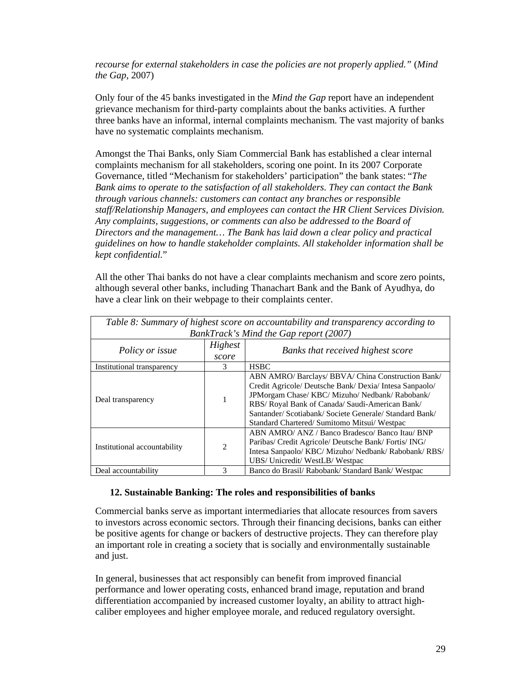*recourse for external stakeholders in case the policies are not properly applied."* (*Mind the Gap*, 2007)

Only four of the 45 banks investigated in the *Mind the Gap* report have an independent grievance mechanism for third-party complaints about the banks activities. A further three banks have an informal, internal complaints mechanism. The vast majority of banks have no systematic complaints mechanism.

Amongst the Thai Banks, only Siam Commercial Bank has established a clear internal complaints mechanism for all stakeholders, scoring one point. In its 2007 Corporate Governance, titled "Mechanism for stakeholders' participation" the bank states: "*The Bank aims to operate to the satisfaction of all stakeholders. They can contact the Bank through various channels: customers can contact any branches or responsible staff/Relationship Managers, and employees can contact the HR Client Services Division. Any complaints, suggestions, or comments can also be addressed to the Board of Directors and the management… The Bank has laid down a clear policy and practical guidelines on how to handle stakeholder complaints. All stakeholder information shall be kept confidential.*"

All the other Thai banks do not have a clear complaints mechanism and score zero points, although several other banks, including Thanachart Bank and the Bank of Ayudhya, do have a clear link on their webpage to their complaints center.

| Table 8: Summary of highest score on accountability and transparency according to |                |                                                         |  |  |  |  |
|-----------------------------------------------------------------------------------|----------------|---------------------------------------------------------|--|--|--|--|
|                                                                                   |                | BankTrack's Mind the Gap report (2007)                  |  |  |  |  |
|                                                                                   | Highest        |                                                         |  |  |  |  |
| Policy or issue                                                                   | score          | Banks that received highest score                       |  |  |  |  |
| Institutional transparency                                                        | <b>HSBC</b>    |                                                         |  |  |  |  |
|                                                                                   |                | ABN AMRO/ Barclays/ BBVA/ China Construction Bank/      |  |  |  |  |
|                                                                                   |                | Credit Agricole/ Deutsche Bank/ Dexia/ Intesa Sanpaolo/ |  |  |  |  |
|                                                                                   |                | JPMorgam Chase/ KBC/ Mizuho/ Nedbank/ Rabobank/         |  |  |  |  |
| Deal transparency                                                                 |                | RBS/ Royal Bank of Canada/ Saudi-American Bank/         |  |  |  |  |
|                                                                                   |                | Santander/Scotiabank/Societe Generale/Standard Bank/    |  |  |  |  |
|                                                                                   |                | Standard Chartered/ Sumitomo Mitsui/ Westpac            |  |  |  |  |
|                                                                                   |                | ABN AMRO/ ANZ / Banco Bradesco/ Banco Itau/ BNP         |  |  |  |  |
|                                                                                   | $\mathfrak{D}$ | Paribas/ Credit Agricole/ Deutsche Bank/ Fortis/ ING/   |  |  |  |  |
| Institutional accountability                                                      |                | Intesa Sanpaolo/ KBC/ Mizuho/ Nedbank/ Rabobank/ RBS/   |  |  |  |  |
|                                                                                   |                | UBS/ Unicredit/ WestLB/ Westpac                         |  |  |  |  |
| Deal accountability                                                               | 3              | Banco do Brasil/ Rabobank/ Standard Bank/ Westpac       |  |  |  |  |

#### **12. Sustainable Banking: The roles and responsibilities of banks**

Commercial banks serve as important intermediaries that allocate resources from savers to investors across economic sectors. Through their financing decisions, banks can either be positive agents for change or backers of destructive projects. They can therefore play an important role in creating a society that is socially and environmentally sustainable and just.

In general, businesses that act responsibly can benefit from improved financial performance and lower operating costs, enhanced brand image, reputation and brand differentiation accompanied by increased customer loyalty, an ability to attract highcaliber employees and higher employee morale, and reduced regulatory oversight.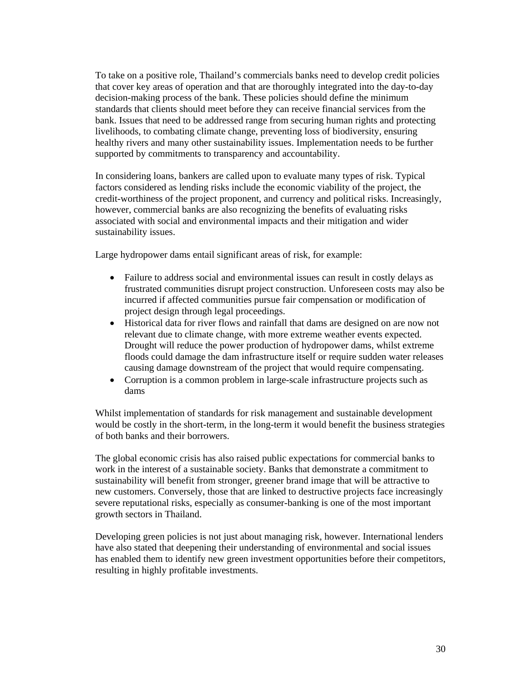To take on a positive role, Thailand's commercials banks need to develop credit policies that cover key areas of operation and that are thoroughly integrated into the day-to-day decision-making process of the bank. These policies should define the minimum standards that clients should meet before they can receive financial services from the bank. Issues that need to be addressed range from securing human rights and protecting livelihoods, to combating climate change, preventing loss of biodiversity, ensuring healthy rivers and many other sustainability issues. Implementation needs to be further supported by commitments to transparency and accountability.

In considering loans, bankers are called upon to evaluate many types of risk. Typical factors considered as lending risks include the economic viability of the project, the credit-worthiness of the project proponent, and currency and political risks. Increasingly, however, commercial banks are also recognizing the benefits of evaluating risks associated with social and environmental impacts and their mitigation and wider sustainability issues.

Large hydropower dams entail significant areas of risk, for example:

- Failure to address social and environmental issues can result in costly delays as frustrated communities disrupt project construction. Unforeseen costs may also be incurred if affected communities pursue fair compensation or modification of project design through legal proceedings.
- Historical data for river flows and rainfall that dams are designed on are now not relevant due to climate change, with more extreme weather events expected. Drought will reduce the power production of hydropower dams, whilst extreme floods could damage the dam infrastructure itself or require sudden water releases causing damage downstream of the project that would require compensating.
- Corruption is a common problem in large-scale infrastructure projects such as dams

Whilst implementation of standards for risk management and sustainable development would be costly in the short-term, in the long-term it would benefit the business strategies of both banks and their borrowers.

The global economic crisis has also raised public expectations for commercial banks to work in the interest of a sustainable society. Banks that demonstrate a commitment to sustainability will benefit from stronger, greener brand image that will be attractive to new customers. Conversely, those that are linked to destructive projects face increasingly severe reputational risks, especially as consumer-banking is one of the most important growth sectors in Thailand.

Developing green policies is not just about managing risk, however. International lenders have also stated that deepening their understanding of environmental and social issues has enabled them to identify new green investment opportunities before their competitors, resulting in highly profitable investments.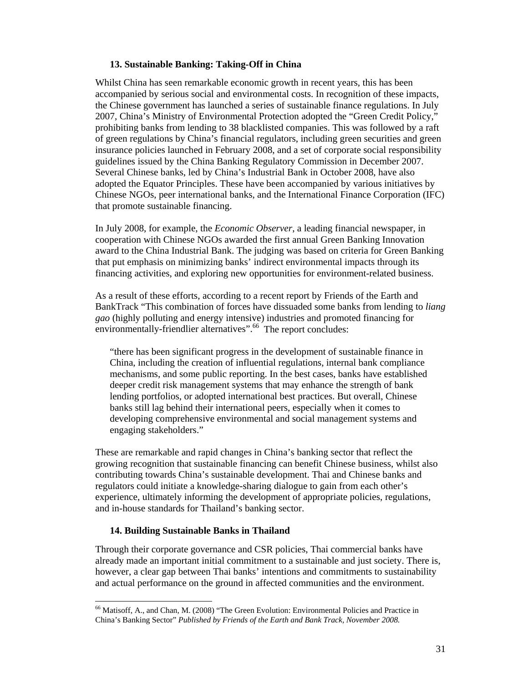#### **13. Sustainable Banking: Taking-Off in China**

Whilst China has seen remarkable economic growth in recent years, this has been accompanied by serious social and environmental costs. In recognition of these impacts, the Chinese government has launched a series of sustainable finance regulations. In July 2007, China's Ministry of Environmental Protection adopted the "Green Credit Policy," prohibiting banks from lending to 38 blacklisted companies. This was followed by a raft of green regulations by China's financial regulators, including green securities and green insurance policies launched in February 2008, and a set of corporate social responsibility guidelines issued by the China Banking Regulatory Commission in December 2007. Several Chinese banks, led by China's Industrial Bank in October 2008, have also adopted the Equator Principles. These have been accompanied by various initiatives by Chinese NGOs, peer international banks, and the International Finance Corporation (IFC) that promote sustainable financing.

In July 2008, for example, the *Economic Observer*, a leading financial newspaper, in cooperation with Chinese NGOs awarded the first annual Green Banking Innovation award to the China Industrial Bank. The judging was based on criteria for Green Banking that put emphasis on minimizing banks' indirect environmental impacts through its financing activities, and exploring new opportunities for environment-related business.

As a result of these efforts, according to a recent report by Friends of the Earth and BankTrack "This combination of forces have dissuaded some banks from lending to *liang gao* (highly polluting and energy intensive) industries and promoted financing for environmentally-friendlier alternatives".<sup>66</sup> The report concludes:

"there has been significant progress in the development of sustainable finance in China, including the creation of influential regulations, internal bank compliance mechanisms, and some public reporting. In the best cases, banks have established deeper credit risk management systems that may enhance the strength of bank lending portfolios, or adopted international best practices. But overall, Chinese banks still lag behind their international peers, especially when it comes to developing comprehensive environmental and social management systems and engaging stakeholders."

These are remarkable and rapid changes in China's banking sector that reflect the growing recognition that sustainable financing can benefit Chinese business, whilst also contributing towards China's sustainable development. Thai and Chinese banks and regulators could initiate a knowledge-sharing dialogue to gain from each other's experience, ultimately informing the development of appropriate policies, regulations, and in-house standards for Thailand's banking sector.

#### **14. Building Sustainable Banks in Thailand**

 $\overline{a}$ 

Through their corporate governance and CSR policies, Thai commercial banks have already made an important initial commitment to a sustainable and just society. There is, however, a clear gap between Thai banks' intentions and commitments to sustainability and actual performance on the ground in affected communities and the environment.

<sup>&</sup>lt;sup>66</sup> Matisoff, A., and Chan, M. (2008) "The Green Evolution: Environmental Policies and Practice in China's Banking Sector" *Published by Friends of the Earth and Bank Track, November 2008.*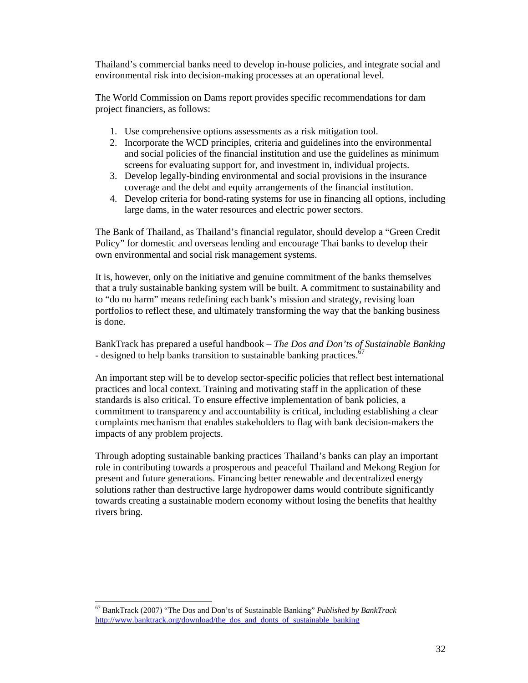Thailand's commercial banks need to develop in-house policies, and integrate social and environmental risk into decision-making processes at an operational level.

The World Commission on Dams report provides specific recommendations for dam project financiers, as follows:

- 1. Use comprehensive options assessments as a risk mitigation tool.
- 2. Incorporate the WCD principles, criteria and guidelines into the environmental and social policies of the financial institution and use the guidelines as minimum screens for evaluating support for, and investment in, individual projects.
- 3. Develop legally-binding environmental and social provisions in the insurance coverage and the debt and equity arrangements of the financial institution.
- 4. Develop criteria for bond-rating systems for use in financing all options, including large dams, in the water resources and electric power sectors.

The Bank of Thailand, as Thailand's financial regulator, should develop a "Green Credit Policy" for domestic and overseas lending and encourage Thai banks to develop their own environmental and social risk management systems.

It is, however, only on the initiative and genuine commitment of the banks themselves that a truly sustainable banking system will be built. A commitment to sustainability and to "do no harm" means redefining each bank's mission and strategy, revising loan portfolios to reflect these, and ultimately transforming the way that the banking business is done.

BankTrack has prepared a useful handbook – *The Dos and Don'ts of Sustainable Banking* - designed to help banks transition to sustainable banking practices.<sup>4</sup>

An important step will be to develop sector-specific policies that reflect best international practices and local context. Training and motivating staff in the application of these standards is also critical. To ensure effective implementation of bank policies, a commitment to transparency and accountability is critical, including establishing a clear complaints mechanism that enables stakeholders to flag with bank decision-makers the impacts of any problem projects.

Through adopting sustainable banking practices Thailand's banks can play an important role in contributing towards a prosperous and peaceful Thailand and Mekong Region for present and future generations. Financing better renewable and decentralized energy solutions rather than destructive large hydropower dams would contribute significantly towards creating a sustainable modern economy without losing the benefits that healthy rivers bring.

 $\overline{a}$ 67 BankTrack (2007) "The Dos and Don'ts of Sustainable Banking" *Published by BankTrack*  http://www.banktrack.org/download/the\_dos\_and\_donts\_of\_sustainable\_banking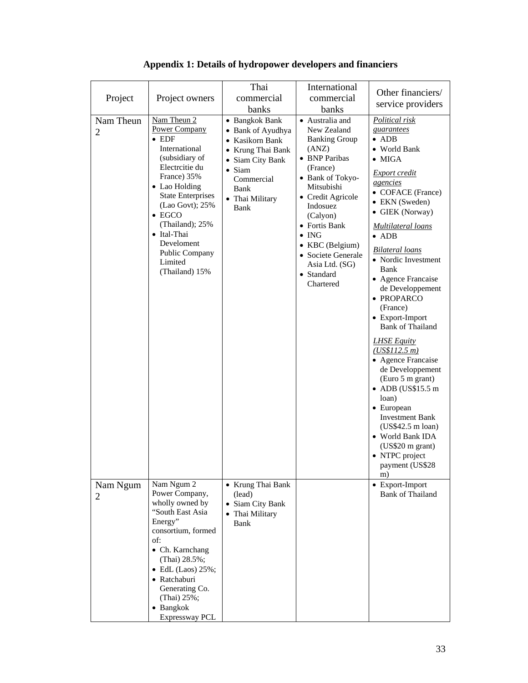| Project                     | Project owners                                                                                                                                                                                                                                                                                            | Thai<br>commercial<br>banks                                                                                                                                        | International<br>commercial<br>banks                                                                                                                                                                                                                                                                | Other financiers/<br>service providers                                                                                                                                                                                                                                                                                                                                                                                                                                                                                                                                                                                                                                                            |
|-----------------------------|-----------------------------------------------------------------------------------------------------------------------------------------------------------------------------------------------------------------------------------------------------------------------------------------------------------|--------------------------------------------------------------------------------------------------------------------------------------------------------------------|-----------------------------------------------------------------------------------------------------------------------------------------------------------------------------------------------------------------------------------------------------------------------------------------------------|---------------------------------------------------------------------------------------------------------------------------------------------------------------------------------------------------------------------------------------------------------------------------------------------------------------------------------------------------------------------------------------------------------------------------------------------------------------------------------------------------------------------------------------------------------------------------------------------------------------------------------------------------------------------------------------------------|
| Nam Theun<br>$\overline{2}$ | Nam Theun 2<br><b>Power Company</b><br>$\bullet$ EDF<br>International<br>(subsidiary of<br>Electrcitie du<br>France) 35%<br>• Lao Holding<br><b>State Enterprises</b><br>(Lao Govt); 25%<br>$\bullet$ EGCO<br>(Thailand); 25%<br>• Ital-Thai<br>Develoment<br>Public Company<br>Limited<br>(Thailand) 15% | • Bangkok Bank<br>• Bank of Ayudhya<br>• Kasikorn Bank<br>• Krung Thai Bank<br>• Siam City Bank<br>$\bullet$ Siam<br>Commercial<br>Bank<br>• Thai Military<br>Bank | • Australia and<br>New Zealand<br><b>Banking Group</b><br>(ANZ)<br>• BNP Paribas<br>(France)<br>• Bank of Tokyo-<br>Mitsubishi<br>• Credit Agricole<br>Indosuez<br>(Calyon)<br>• Fortis Bank<br>$\bullet$ ING<br>• KBC (Belgium)<br>• Societe Generale<br>Asia Ltd. (SG)<br>• Standard<br>Chartered | Political risk<br>guarantees<br>$\bullet$ ADB<br>• World Bank<br>$\bullet$ MIGA<br><b>Export credit</b><br>agencies<br>• COFACE (France)<br>• EKN (Sweden)<br>• GIEK (Norway)<br><u>Multilateral loans</u><br>$\bullet$ ADB<br><b>Bilateral loans</b><br>• Nordic Investment<br>Bank<br>• Agence Francaise<br>de Developpement<br>• PROPARCO<br>(France)<br>• Export-Import<br><b>Bank of Thailand</b><br><b>LHSE Equity</b><br>(US\$112.5 m)<br>• Agence Francaise<br>de Developpement<br>(Euro 5 m grant)<br>$\bullet$ ADB (US\$15.5 m<br>loan)<br>• European<br><b>Investment Bank</b><br>(US\$42.5 m loan)<br>• World Bank IDA<br>(US\$20 m grant)<br>• NTPC project<br>payment (US\$28<br>m) |
| Nam Ngum<br>$\overline{2}$  | Nam Ngum 2<br>Power Company,<br>wholly owned by<br>"South East Asia<br>Energy"<br>consortium, formed<br>of:<br>• Ch. Karnchang<br>(Thai) 28.5%;<br>$\bullet$ EdL (Laos) 25%;<br>• Ratchaburi<br>Generating Co.<br>(Thai) 25%;<br>• Bangkok<br>Expressway PCL                                              | • Krung Thai Bank<br>(lead)<br>• Siam City Bank<br>• Thai Military<br>Bank                                                                                         |                                                                                                                                                                                                                                                                                                     | • Export-Import<br><b>Bank of Thailand</b>                                                                                                                                                                                                                                                                                                                                                                                                                                                                                                                                                                                                                                                        |

## **Appendix 1: Details of hydropower developers and financiers**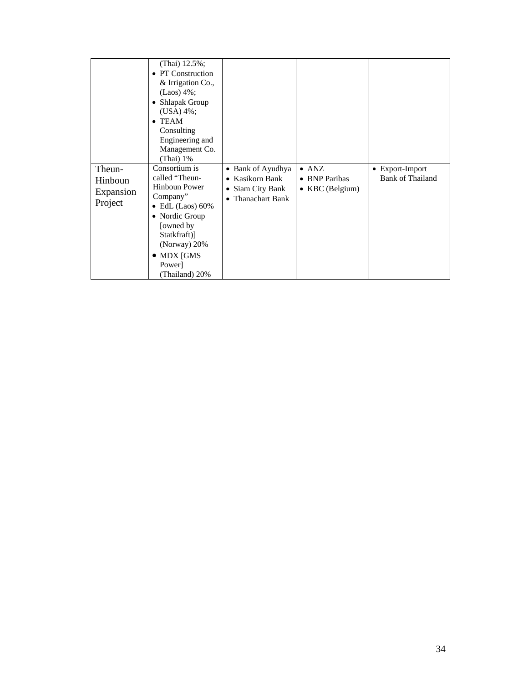|                                                  | (Thai) $12.5\%$ ;<br>• PT Construction<br>& Irrigation Co.,<br>$(Laos) 4\%;$<br>• Shlapak Group<br>$(USA) 4\%;$<br>$\bullet$ TEAM<br>Consulting<br>Engineering and<br>Management Co.<br>(Thai) 1%                        |                                                                                  |                                                   |                                     |
|--------------------------------------------------|--------------------------------------------------------------------------------------------------------------------------------------------------------------------------------------------------------------------------|----------------------------------------------------------------------------------|---------------------------------------------------|-------------------------------------|
| Theun-<br><b>Hinboun</b><br>Expansion<br>Project | Consortium is<br>called "Theun-<br><b>Hinboun Power</b><br>Company"<br>EdL $(Laos)$ 60%<br>$\bullet$<br>• Nordic Group<br>[owned by]<br>Statkfraft)]<br>(Norway) $20\%$<br>$\bullet$ MDX [GMS<br>Power<br>(Thailand) 20% | • Bank of Ayudhya<br>• Kasikorn Bank<br>Siam City Bank<br>٠<br>• Thanachart Bank | $\bullet$ ANZ<br>• BNP Paribas<br>• KBC (Belgium) | • Export-Import<br>Bank of Thailand |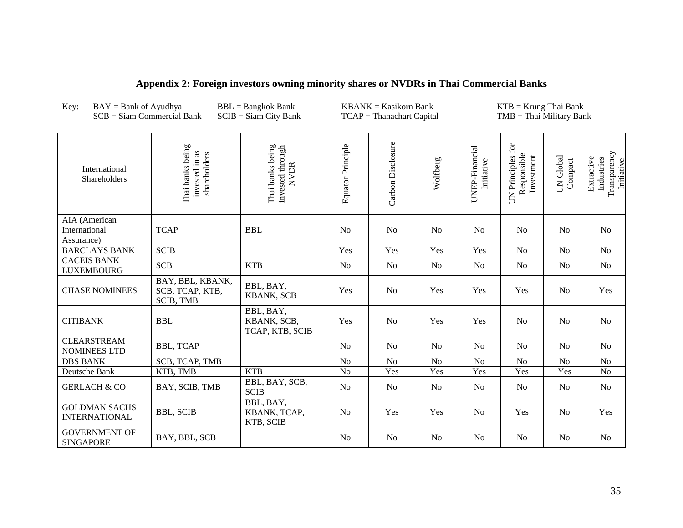| Key:<br>$BAY = Bank of Ayudhya$<br>$SCB = Siam$ Commercial Bank |                                                         | $BBL =$ Bangkok Bank<br>$SCIB = Siam City Bank$     | $KBANK = Kasikorn Bank$<br>$TCAP = Thanachart Capital$ |                   |                | $KTB = Krung Thai Bank$<br>$TMB = Thai Military Bank$ |                                                |                      |                                                        |  |
|-----------------------------------------------------------------|---------------------------------------------------------|-----------------------------------------------------|--------------------------------------------------------|-------------------|----------------|-------------------------------------------------------|------------------------------------------------|----------------------|--------------------------------------------------------|--|
| International<br>Shareholders                                   | Thai banks being<br>invested in as<br>shareholders      | Thai banks being<br>invested through<br><b>NVDR</b> | Equator Principle                                      | Carbon Disclosure | Wolfberg       | UNEP-Financial<br>Initiative                          | UN Principles for<br>Responsible<br>Investment | UN Global<br>Compact | Transparency<br>Extractive<br>Industries<br>Initiative |  |
| AIA (American<br>International<br>Assurance)                    | <b>TCAP</b>                                             | <b>BBL</b>                                          | No                                                     | N <sub>o</sub>    | N <sub>o</sub> | No                                                    | No                                             | N <sub>0</sub>       | No                                                     |  |
| <b>BARCLAYS BANK</b>                                            | <b>SCIB</b>                                             |                                                     | Yes                                                    | Yes               | Yes            | Yes                                                   | No                                             | N <sub>o</sub>       | $\rm No$                                               |  |
| <b>CACEIS BANK</b><br><b>LUXEMBOURG</b>                         | <b>SCB</b>                                              | <b>KTB</b>                                          | N <sub>o</sub>                                         | No                | N <sub>o</sub> | No                                                    | N <sub>0</sub>                                 | N <sub>0</sub>       | N <sub>0</sub>                                         |  |
| <b>CHASE NOMINEES</b>                                           | BAY, BBL, KBANK,<br>SCB, TCAP, KTB,<br><b>SCIB, TMB</b> | BBL, BAY,<br><b>KBANK, SCB</b>                      | Yes                                                    | N <sub>o</sub>    | Yes            | Yes                                                   | Yes                                            | N <sub>o</sub>       | Yes                                                    |  |
| <b>CITIBANK</b>                                                 | <b>BBL</b>                                              | BBL, BAY,<br>KBANK, SCB,<br>TCAP, KTB, SCIB         | Yes                                                    | N <sub>o</sub>    | Yes            | Yes                                                   | N <sub>o</sub>                                 | N <sub>o</sub>       | No                                                     |  |
| <b>CLEARSTREAM</b><br><b>NOMINEES LTD</b>                       | <b>BBL, TCAP</b>                                        |                                                     | N <sub>o</sub>                                         | N <sub>o</sub>    | N <sub>0</sub> | N <sub>0</sub>                                        | No                                             | N <sub>0</sub>       | N <sub>o</sub>                                         |  |
| <b>DBS BANK</b>                                                 | SCB, TCAP, TMB                                          |                                                     | N <sub>o</sub>                                         | No                | N <sub>o</sub> | $\rm No$                                              | No                                             | No                   | N <sub>o</sub>                                         |  |
| Deutsche Bank                                                   | KTB, TMB                                                | <b>KTB</b>                                          | N <sub>o</sub>                                         | Yes               | Yes            | Yes                                                   | Yes                                            | Yes                  | N <sub>o</sub>                                         |  |
| <b>GERLACH &amp; CO</b>                                         | BAY, SCIB, TMB                                          | BBL, BAY, SCB,<br><b>SCIB</b>                       | N <sub>o</sub>                                         | <b>No</b>         | N <sub>o</sub> | N <sub>0</sub>                                        | N <sub>0</sub>                                 | N <sub>0</sub>       | No                                                     |  |
| <b>GOLDMAN SACHS</b><br><b>INTERNATIONAL</b>                    | <b>BBL, SCIB</b>                                        | BBL, BAY,<br>KBANK, TCAP,<br>KTB, SCIB              | N <sub>o</sub>                                         | Yes               | Yes            | No                                                    | Yes                                            | N <sub>o</sub>       | Yes                                                    |  |
| <b>GOVERNMENT OF</b><br><b>SINGAPORE</b>                        | BAY, BBL, SCB                                           |                                                     | N <sub>o</sub>                                         | No                | N <sub>o</sub> | No                                                    | No                                             | N <sub>0</sub>       | No                                                     |  |

## **Appendix 2: Foreign investors owning minority shares or NVDRs in Thai Commercial Banks**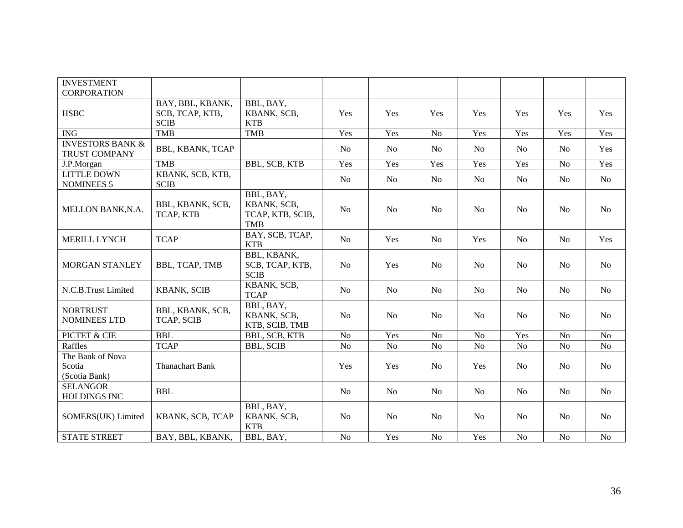| <b>INVESTMENT</b>                                   |                                       |                                                            |                |                |                |                |                |                |                |
|-----------------------------------------------------|---------------------------------------|------------------------------------------------------------|----------------|----------------|----------------|----------------|----------------|----------------|----------------|
| <b>CORPORATION</b>                                  |                                       |                                                            |                |                |                |                |                |                |                |
|                                                     | BAY, BBL, KBANK,                      | BBL, BAY,                                                  |                |                |                |                |                |                |                |
| <b>HSBC</b>                                         | SCB, TCAP, KTB,                       | KBANK, SCB,                                                | Yes            | Yes            | Yes            | Yes            | Yes            | Yes            | Yes            |
|                                                     | <b>SCIB</b>                           | <b>KTB</b>                                                 |                |                |                |                |                |                |                |
| <b>ING</b>                                          | <b>TMB</b>                            | <b>TMB</b>                                                 | Yes            | Yes            | No             | Yes            | Yes            | Yes            | Yes            |
| <b>INVESTORS BANK &amp;</b><br><b>TRUST COMPANY</b> | <b>BBL, KBANK, TCAP</b>               |                                                            | N <sub>o</sub> | No             | N <sub>0</sub> | No             | N <sub>o</sub> | N <sub>0</sub> | Yes            |
| J.P.Morgan                                          | <b>TMB</b>                            | <b>BBL, SCB, KTB</b>                                       | Yes            | Yes            | Yes            | Yes            | Yes            | No             | Yes            |
| <b>LITTLE DOWN</b><br><b>NOMINEES 5</b>             | KBANK, SCB, KTB,<br><b>SCIB</b>       |                                                            | N <sub>o</sub> | N <sub>0</sub> | N <sub>o</sub> | N <sub>o</sub> | N <sub>o</sub> | N <sub>o</sub> | N <sub>o</sub> |
| MELLON BANK, N.A.                                   | BBL, KBANK, SCB,<br>TCAP, KTB         | BBL, BAY,<br>KBANK, SCB,<br>TCAP, KTB, SCIB,<br><b>TMB</b> | N <sub>o</sub> | N <sub>0</sub> | N <sub>0</sub> | N <sub>0</sub> | N <sub>o</sub> | N <sub>0</sub> | N <sub>o</sub> |
| <b>MERILL LYNCH</b>                                 | <b>TCAP</b>                           | BAY, SCB, TCAP,<br><b>KTB</b>                              | N <sub>o</sub> | Yes            | N <sub>0</sub> | Yes            | N <sub>0</sub> | N <sub>0</sub> | Yes            |
| MORGAN STANLEY                                      | BBL, TCAP, TMB                        | BBL, KBANK,<br>SCB, TCAP, KTB,<br><b>SCIB</b>              | N <sub>o</sub> | Yes            | N <sub>0</sub> | No             | <b>No</b>      | N <sub>0</sub> | N <sub>0</sub> |
| N.C.B.Trust Limited                                 | <b>KBANK, SCIB</b>                    | KBANK, SCB,<br><b>TCAP</b>                                 | N <sub>o</sub> | No             | N <sub>o</sub> | No             | No             | N <sub>o</sub> | <b>No</b>      |
| <b>NORTRUST</b><br><b>NOMINEES LTD</b>              | BBL, KBANK, SCB,<br><b>TCAP, SCIB</b> | BBL, BAY,<br>KBANK, SCB,<br>KTB, SCIB, TMB                 | No             | N <sub>o</sub> | No             | N <sub>o</sub> | N <sub>o</sub> | No             | N <sub>o</sub> |
| PICTET & CIE                                        | <b>BBL</b>                            | BBL, SCB, KTB                                              | N <sub>o</sub> | Yes            | N <sub>o</sub> | N <sub>o</sub> | Yes            | N <sub>o</sub> | N <sub>o</sub> |
| Raffles                                             | <b>TCAP</b>                           | <b>BBL, SCIB</b>                                           | No             | No             | No             | No             | No             | N <sub>o</sub> | N <sub>o</sub> |
| The Bank of Nova<br>Scotia<br>(Scotia Bank)         | <b>Thanachart Bank</b>                |                                                            | Yes            | Yes            | <b>No</b>      | Yes            | <b>No</b>      | N <sub>o</sub> | No             |
| <b>SELANGOR</b><br><b>HOLDINGS INC</b>              | <b>BBL</b>                            |                                                            | N <sub>0</sub> | N <sub>0</sub> | N <sub>0</sub> | No             | N <sub>0</sub> | N <sub>0</sub> | N <sub>0</sub> |
| SOMERS(UK) Limited                                  | KBANK, SCB, TCAP                      | BBL, BAY,<br>KBANK, SCB,<br><b>KTB</b>                     | N <sub>o</sub> | N <sub>0</sub> | N <sub>0</sub> | N <sub>o</sub> | N <sub>0</sub> | N <sub>0</sub> | No             |
| <b>STATE STREET</b>                                 | BAY, BBL, KBANK,                      | BBL, BAY,                                                  | N <sub>o</sub> | Yes            | No             | Yes            | N <sub>o</sub> | N <sub>o</sub> | N <sub>o</sub> |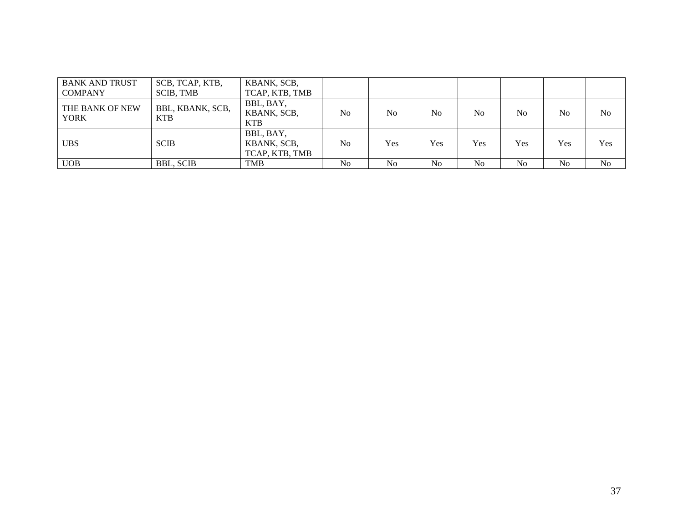| <b>BANK AND TRUST</b><br><b>COMPANY</b> | SCB, TCAP, KTB,<br><b>SCIB, TMB</b> | KBANK, SCB,<br>TCAP, KTB, TMB              |                |                |                |                |                |                |     |
|-----------------------------------------|-------------------------------------|--------------------------------------------|----------------|----------------|----------------|----------------|----------------|----------------|-----|
| THE BANK OF NEW<br><b>YORK</b>          | BBL, KBANK, SCB,<br><b>KTB</b>      | BBL, BAY,<br>KBANK, SCB,<br><b>KTB</b>     | N <sub>0</sub> | N <sub>0</sub> | N <sub>0</sub> | N <sub>o</sub> | No             | No             | No  |
| <b>UBS</b>                              | <b>SCIB</b>                         | BBL, BAY,<br>KBANK, SCB,<br>TCAP, KTB, TMB | N <sub>0</sub> | Yes            | Yes            | Yes            | Yes            | Yes            | Yes |
| <b>UOB</b>                              | <b>BBL, SCIB</b>                    | <b>TMB</b>                                 | N <sub>0</sub> | N <sub>0</sub> | N <sub>0</sub> | N <sub>0</sub> | N <sub>o</sub> | N <sub>o</sub> | No  |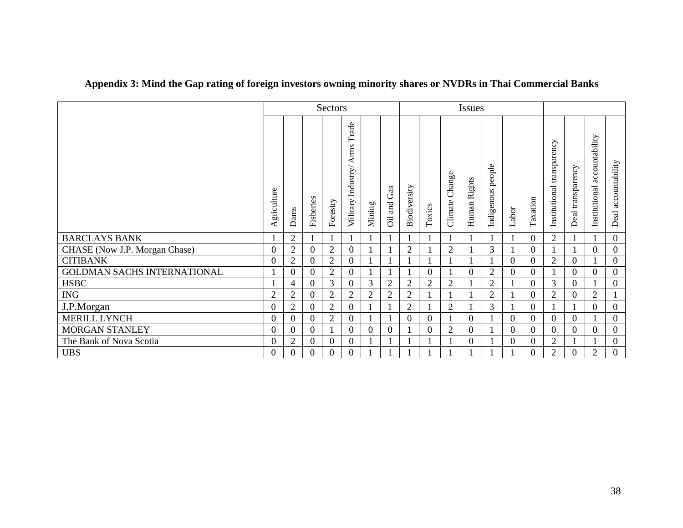|                               | Sectors          |                |                  | <b>Issues</b>  |                                        |                |                  |                |                |                   |                 |                      |          |                |                               |                   |                                 |                     |
|-------------------------------|------------------|----------------|------------------|----------------|----------------------------------------|----------------|------------------|----------------|----------------|-------------------|-----------------|----------------------|----------|----------------|-------------------------------|-------------------|---------------------------------|---------------------|
|                               | Agriculture      | Dams           | Fisheries        | Forestry       | Trade<br>Arms<br>Industry/<br>Military | Mining         | Gas<br>and<br>öi | Biodiversity   | Toxics         | Change<br>Climate | Rights<br>Human | people<br>Indigenous | Labor    | Taxation       | transparency<br>Institutional | Deal transparency | accountability<br>Institutional | Deal accountability |
| <b>BARCLAYS BANK</b>          | $\mathbf{1}$     | $\overline{2}$ |                  |                |                                        |                |                  |                |                |                   |                 |                      |          | $\overline{0}$ | $\overline{2}$                |                   |                                 | $\boldsymbol{0}$    |
| CHASE (Now J.P. Morgan Chase) | $\mathbf{0}$     | 2              | $\theta$         | $\overline{2}$ | $\theta$                               |                |                  | $\overline{2}$ |                | $\overline{2}$    |                 | 3                    |          | $\overline{0}$ |                               |                   | $\Omega$                        | $\boldsymbol{0}$    |
| <b>CITIBANK</b>               | $\overline{0}$   | $\mathfrak{2}$ | $\overline{0}$   | $\overline{2}$ | $\overline{0}$                         |                |                  |                |                |                   |                 |                      | $\Omega$ | $\overline{0}$ | $\overline{2}$                | $\overline{0}$    |                                 | $\overline{0}$      |
| GOLDMAN SACHS INTERNATIONAL   |                  | 0              | $\overline{0}$   | $\overline{2}$ | $\overline{0}$                         |                |                  |                | $\overline{0}$ |                   | $\Omega$        | $\overline{2}$       | 0        | $\overline{0}$ |                               | $\overline{0}$    | $\Omega$                        | $\boldsymbol{0}$    |
| <b>HSBC</b>                   | 1                | 4              | $\overline{0}$   | 3              | $\theta$                               | 3              | $\overline{2}$   | $\overline{2}$ | $\overline{2}$ | $\overline{2}$    |                 | $\overline{2}$       |          | $\Omega$       | 3                             | $\overline{0}$    |                                 | $\boldsymbol{0}$    |
| <b>ING</b>                    | $\overline{2}$   | 2              | $\boldsymbol{0}$ | $\overline{2}$ | $\overline{2}$                         | $\overline{2}$ | $\overline{2}$   | $\overline{2}$ |                |                   |                 | $\overline{2}$       |          | $\overline{0}$ | $\overline{2}$                | $\overline{0}$    | $\overline{2}$                  |                     |
| J.P.Morgan                    | $\boldsymbol{0}$ | $\overline{c}$ | $\boldsymbol{0}$ | $\overline{2}$ | $\overline{0}$                         |                |                  | $\overline{2}$ |                | $\overline{2}$    |                 | 3                    |          | $\theta$       |                               |                   | $\overline{0}$                  | $\boldsymbol{0}$    |
| <b>MERILL LYNCH</b>           | $\mathbf{0}$     | 0              | $\theta$         | $\overline{2}$ | $\theta$                               |                |                  | $\overline{0}$ | 0              |                   | $\Omega$        |                      | $\Omega$ | $\theta$       | $\overline{0}$                | $\overline{0}$    |                                 | $\boldsymbol{0}$    |
| <b>MORGAN STANLEY</b>         | $\mathbf{0}$     | $_{0}$         | $\mathbf{0}$     |                | $\boldsymbol{0}$                       | 0              | 0                |                | 0              | $\overline{2}$    | $\overline{0}$  |                      | 0        | $\overline{0}$ | $\overline{0}$                | $\overline{0}$    | $\boldsymbol{0}$                | $\boldsymbol{0}$    |
| The Bank of Nova Scotia       | $\mathbf{0}$     | $\overline{2}$ | $\theta$         | $\mathbf{0}$   | $\overline{0}$                         |                |                  |                |                |                   | $\Omega$        |                      | $\Omega$ | $\overline{0}$ | $\overline{2}$                |                   |                                 | $\boldsymbol{0}$    |
| <b>UBS</b>                    | $\overline{0}$   |                | 0                | 0              | 0                                      |                |                  |                |                |                   |                 |                      |          | $\theta$       | $\overline{2}$                | $\Omega$          | $\overline{2}$                  | $\boldsymbol{0}$    |

# **Appendix 3: Mind the Gap rating of foreign investors owning minority shares or NVDRs in Thai Commercial Banks**